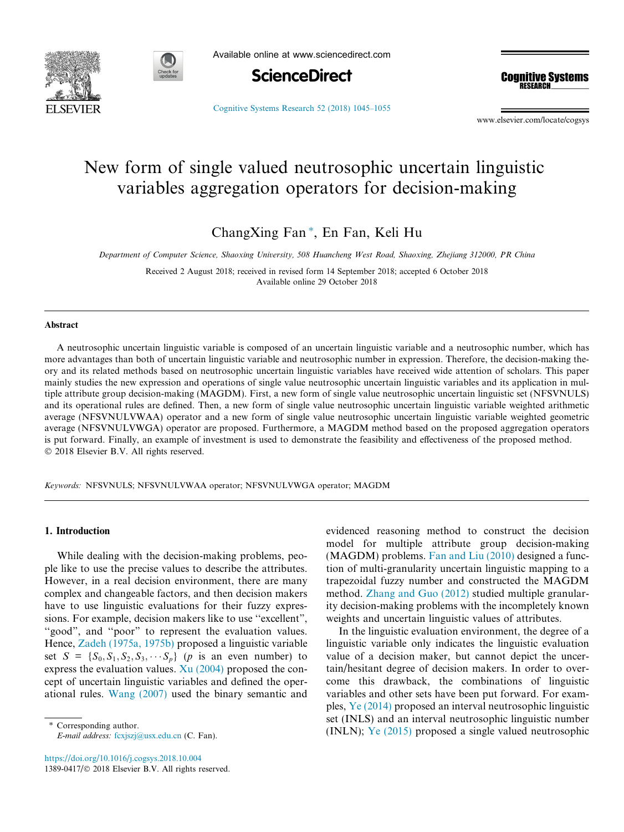



Available online at www.sciencedirect.com



**Cognitive Systems RESEARCH** 

[Cognitive Systems Research 52 \(2018\) 1045–1055](https://doi.org/10.1016/j.cogsys.2018.10.004)

www.elsevier.com/locate/cogsys

# New form of single valued neutrosophic uncertain linguistic variables aggregation operators for decision-making

ChangXing Fan<sup>\*</sup>, En Fan, Keli Hu

Department of Computer Science, Shaoxing University, 508 Huancheng West Road, Shaoxing, Zhejiang 312000, PR China

Received 2 August 2018; received in revised form 14 September 2018; accepted 6 October 2018 Available online 29 October 2018

#### Abstract

A neutrosophic uncertain linguistic variable is composed of an uncertain linguistic variable and a neutrosophic number, which has more advantages than both of uncertain linguistic variable and neutrosophic number in expression. Therefore, the decision-making theory and its related methods based on neutrosophic uncertain linguistic variables have received wide attention of scholars. This paper mainly studies the new expression and operations of single value neutrosophic uncertain linguistic variables and its application in multiple attribute group decision-making (MAGDM). First, a new form of single value neutrosophic uncertain linguistic set (NFSVNULS) and its operational rules are defined. Then, a new form of single value neutrosophic uncertain linguistic variable weighted arithmetic average (NFSVNULVWAA) operator and a new form of single value neutrosophic uncertain linguistic variable weighted geometric average (NFSVNULVWGA) operator are proposed. Furthermore, a MAGDM method based on the proposed aggregation operators is put forward. Finally, an example of investment is used to demonstrate the feasibility and effectiveness of the proposed method. 2018 Elsevier B.V. All rights reserved.

Keywords: NFSVNULS; NFSVNULVWAA operator; NFSVNULVWGA operator; MAGDM

# 1. Introduction

While dealing with the decision-making problems, people like to use the precise values to describe the attributes. However, in a real decision environment, there are many complex and changeable factors, and then decision makers have to use linguistic evaluations for their fuzzy expressions. For example, decision makers like to use ''excellent", "good", and "poor" to represent the evaluation values. Hence, [Zadeh \(1975a, 1975b\)](#page-10-0) proposed a linguistic variable set  $S = \{S_0, S_1, S_2, S_3, \cdots, S_p\}$  (*p* is an even number) to express the evaluation values. [Xu \(2004\)](#page-10-0) proposed the concept of uncertain linguistic variables and defined the operational rules. [Wang \(2007\)](#page-10-0) used the binary semantic and

<https://doi.org/10.1016/j.cogsys.2018.10.004> 1389-0417/ $\odot$  2018 Elsevier B.V. All rights reserved. evidenced reasoning method to construct the decision model for multiple attribute group decision-making (MAGDM) problems. [Fan and Liu \(2010\)](#page-9-0) designed a function of multi-granularity uncertain linguistic mapping to a trapezoidal fuzzy number and constructed the MAGDM method. [Zhang and Guo \(2012\)](#page-10-0) studied multiple granularity decision-making problems with the incompletely known weights and uncertain linguistic values of attributes.

In the linguistic evaluation environment, the degree of a linguistic variable only indicates the linguistic evaluation value of a decision maker, but cannot depict the uncertain/hesitant degree of decision makers. In order to overcome this drawback, the combinations of linguistic variables and other sets have been put forward. For examples, [Ye \(2014\)](#page-10-0) proposed an interval neutrosophic linguistic set (INLS) and an interval neutrosophic linguistic number (INLN); [Ye \(2015\)](#page-10-0) proposed a single valued neutrosophic

<sup>\*</sup> Corresponding author. E-mail address: [fcxjszj@usx.edu.cn](mailto:fcxjszj@usx.edu.cn) (C. Fan).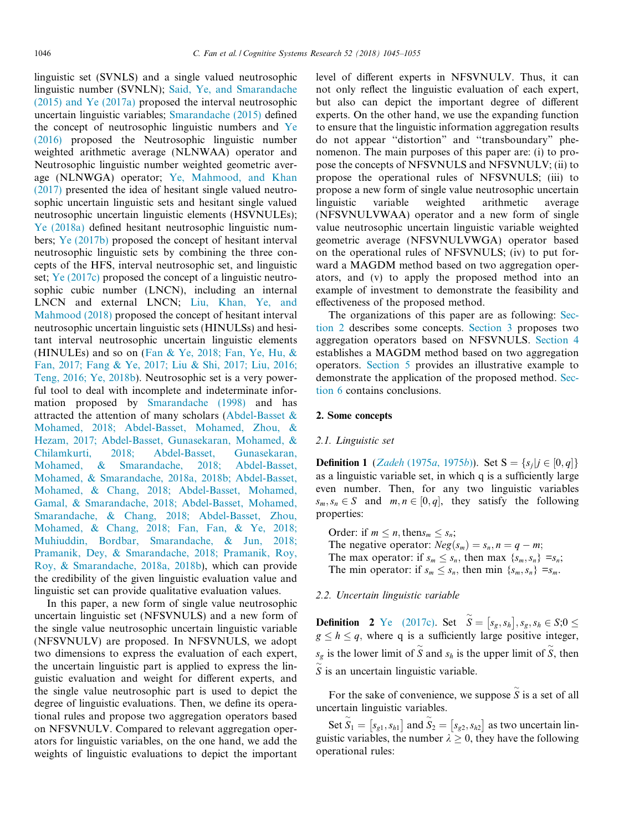linguistic set (SVNLS) and a single valued neutrosophic linguistic number (SVNLN); [Said, Ye, and Smarandache](#page-10-0) [\(2015\) and Ye \(2017a\)](#page-10-0) proposed the interval neutrosophic uncertain linguistic variables; [Smarandache \(2015\)](#page-10-0) defined the concept of neutrosophic linguistic numbers and [Ye](#page-10-0) [\(2016\)](#page-10-0) proposed the Neutrosophic linguistic number weighted arithmetic average (NLNWAA) operator and Neutrosophic linguistic number weighted geometric average (NLNWGA) operator; [Ye, Mahmood, and Khan](#page-10-0) [\(2017\)](#page-10-0) presented the idea of hesitant single valued neutrosophic uncertain linguistic sets and hesitant single valued neutrosophic uncertain linguistic elements (HSVNULEs); [Ye \(2018a\)](#page-10-0) defined hesitant neutrosophic linguistic numbers; [Ye \(2017b\)](#page-10-0) proposed the concept of hesitant interval neutrosophic linguistic sets by combining the three concepts of the HFS, interval neutrosophic set, and linguistic set; [Ye \(2017c\)](#page-10-0) proposed the concept of a linguistic neutrosophic cubic number (LNCN), including an internal LNCN and external LNCN; [Liu, Khan, Ye, and](#page-10-0) [Mahmood \(2018\)](#page-10-0) proposed the concept of hesitant interval neutrosophic uncertain linguistic sets (HINULSs) and hesitant interval neutrosophic uncertain linguistic elements (HINULEs) and so on ([Fan & Ye, 2018; Fan, Ye, Hu, &](#page-9-0) [Fan, 2017; Fang & Ye, 2017; Liu & Shi, 2017; Liu, 2016;](#page-9-0) [Teng, 2016; Ye, 2018b](#page-9-0)). Neutrosophic set is a very powerful tool to deal with incomplete and indeterminate information proposed by [Smarandache \(1998\)](#page-10-0) and has attracted the attention of many scholars [\(Abdel-Basset &](#page-9-0) [Mohamed, 2018; Abdel-Basset, Mohamed, Zhou, &](#page-9-0) [Hezam, 2017; Abdel-Basset, Gunasekaran, Mohamed, &](#page-9-0) [Chilamkurti, 2018; Abdel-Basset, Gunasekaran,](#page-9-0) [Mohamed, & Smarandache, 2018; Abdel-Basset,](#page-9-0) [Mohamed, & Smarandache, 2018a, 2018b; Abdel-Basset,](#page-9-0) [Mohamed, & Chang, 2018; Abdel-Basset, Mohamed,](#page-9-0) [Gamal, & Smarandache, 2018; Abdel-Basset, Mohamed,](#page-9-0) [Smarandache, & Chang, 2018; Abdel-Basset, Zhou,](#page-9-0) [Mohamed, & Chang, 2018; Fan, Fan, & Ye, 2018;](#page-9-0) [Muhiuddin, Bordbar, Smarandache, & Jun, 2018;](#page-9-0) [Pramanik, Dey, & Smarandache, 2018; Pramanik, Roy,](#page-9-0) [Roy, & Smarandache, 2018a, 2018b](#page-9-0)), which can provide the credibility of the given linguistic evaluation value and linguistic set can provide qualitative evaluation values.

In this paper, a new form of single value neutrosophic uncertain linguistic set (NFSVNULS) and a new form of the single value neutrosophic uncertain linguistic variable (NFSVNULV) are proposed. In NFSVNULS, we adopt two dimensions to express the evaluation of each expert, the uncertain linguistic part is applied to express the linguistic evaluation and weight for different experts, and the single value neutrosophic part is used to depict the degree of linguistic evaluations. Then, we define its operational rules and propose two aggregation operators based on NFSVNULV. Compared to relevant aggregation operators for linguistic variables, on the one hand, we add the weights of linguistic evaluations to depict the important level of different experts in NFSVNULV. Thus, it can not only reflect the linguistic evaluation of each expert, but also can depict the important degree of different experts. On the other hand, we use the expanding function to ensure that the linguistic information aggregation results do not appear ''distortion" and ''transboundary" phenomenon. The main purposes of this paper are: (i) to propose the concepts of NFSVNULS and NFSVNULV; (ii) to propose the operational rules of NFSVNULS; (iii) to propose a new form of single value neutrosophic uncertain linguistic variable weighted arithmetic average (NFSVNULVWAA) operator and a new form of single value neutrosophic uncertain linguistic variable weighted geometric average (NFSVNULVWGA) operator based on the operational rules of NFSVNULS; (iv) to put forward a MAGDM method based on two aggregation operators, and (v) to apply the proposed method into an example of investment to demonstrate the feasibility and effectiveness of the proposed method.

The organizations of this paper are as following: Section 2 describes some concepts. [Section 3](#page-4-0) proposes two aggregation operators based on NFSVNULS. [Section 4](#page-6-0) establishes a MAGDM method based on two aggregation operators. [Section 5](#page-7-0) provides an illustrative example to demonstrate the application of the proposed method. [Sec](#page-9-0)[tion 6](#page-9-0) contains conclusions.

#### 2. Some concepts

#### 2.1. Linguistic set

**Definition 1** ([Zadeh \(1975a, 1975b\)](#page-10-0)). Set  $S = \{s_i | j \in [0, q]\}$ as a linguistic variable set, in which q is a sufficiently large even number. Then, for any two linguistic variables  $s_m, s_n \in S$  and  $m, n \in [0, q]$ , they satisfy the following properties:

Order: if  $m \leq n$ , thens<sub>m</sub>  $\leq s_n$ ; The negative operator:  $Neg(s_m) = s_n, n = q - m;$ The max operator: if  $s_m \leq s_n$ , then max  $\{s_m, s_n\} = s_n$ ; The min operator: if  $s_m \leq s_n$ , then min  $\{s_m, s_n\} = s_m$ .

## 2.2. Uncertain linguistic variable

**Definition** 2 [Ye \(2017c\)](#page-10-0). Set  $S = [s_g, s_h], s_g, s_h \in S; 0 \le g \le h \le g$  where g is a sufficiently large positive integer  $g \le h \le q$ , where q is a sufficiently large positive integer,  $s_g$  is the lower limit of S and  $s_h$  is the upper limit of S, then S is an uncertain linguistic variable.

For the sake of convenience, we suppose  $S$  is a set of all uncertain linguistic variables.

Set  $S_1 = [s_{g1}, s_{h1}]$  and  $S_2 = [s_{g2}, s_{h2}]$  as two uncertain lin-<br>istic variables, the number  $\lambda > 0$ , they have the following guistic variables, the number  $\lambda \geq 0$ , they have the following operational rules: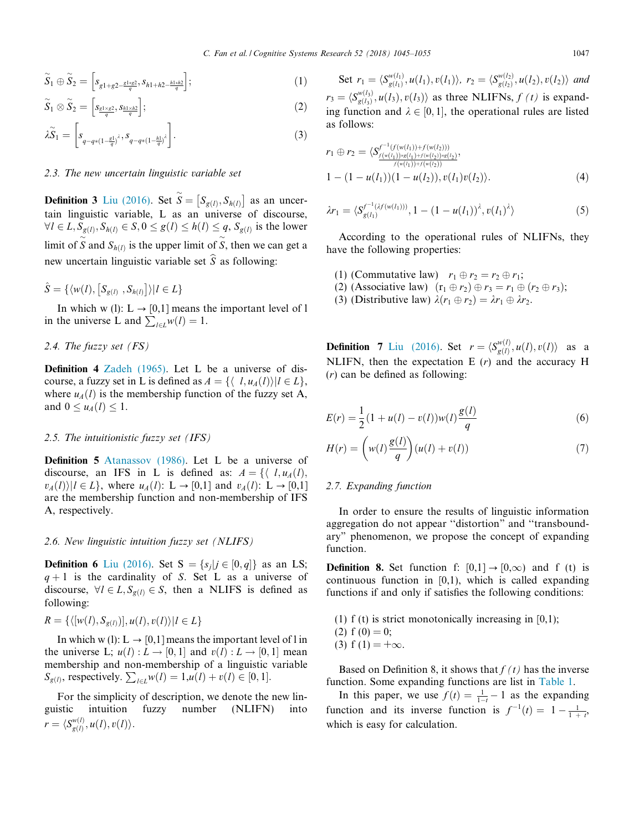$$
\widetilde{S}_1 \oplus \widetilde{S}_2 = \left[ s_{g1+g2-\frac{g1*g2}{q}}, s_{h1+h2-\frac{h1*h2}{q}} \right];\tag{1}
$$

$$
\widetilde{S}_1 \otimes \widetilde{S}_2 = \left[ s_{\frac{g_1 \times g_2}{q}}, s_{\frac{h_1 \times h_2}{q}} \right];\tag{2}
$$

$$
\tilde{\lambda S}_1 = \left[ s_{q-q*(1-\frac{g1}{q})^{\lambda}}, s_{q-q*(1-\frac{h1}{q})^{\lambda}} \right]. \tag{3}
$$

# 2.3. The new uncertain linguistic variable set

**Definition 3** [Liu \(2016\).](#page-10-0) Set  $\tilde{S} = [S_{g(l)}, S_{h(l)}]$  as an uncertain linguistic variable, L as an universe of discourse,  $\forall l \in L, S_{g(l)}, S_{h(l)} \in S, 0 \le g(l) \le h(l) \le q, S_{g(l)}$  is the lower limit of S and  $S_{h(l)}$  is the upper limit of S, then we can get a new uncertain linguistic variable set  $\hat{S}$  as following:

$$
\hat{S} = \{ \langle w(l), [S_{g(l)}, S_{h(l)}] \rangle | l \in L \}
$$

In which w (l):  $L \rightarrow [0,1]$  means the important level of l in the universe L and  $\sum_{l \in L} w(l) = 1$ .

## 2.4. The fuzzy set (FS)

Definition 4 [Zadeh \(1965\)](#page-10-0). Let L be a universe of discourse, a fuzzy set in L is defined as  $A = \{ \langle l, u_A(l) \rangle | l \in L \},\$ where  $u_A(l)$  is the membership function of the fuzzy set A, and  $0 \leq u_A(l) \leq 1$ .

## 2.5. The intuitionistic fuzzy set (IFS)

Definition 5 [Atanassov \(1986\).](#page-9-0) Let L be a universe of discourse, an IFS in L is defined as:  $A = \{ \langle l, u_A(l), \rangle \}$  $v_A(l)$ |l  $\in L$  }, where  $u_A(l)$ :  $L \rightarrow [0,1]$  and  $v_A(l)$ :  $L \rightarrow [0,1]$ are the membership function and non-membership of IFS A, respectively.

#### 2.6. New linguistic intuition fuzzy set (NLIFS)

**Definition 6** [Liu \(2016\)](#page-10-0). Set  $S = \{s_i | j \in [0, q]\}$  as an LS;  $q+1$  is the cardinality of S. Set L as a universe of discourse,  $\forall l \in L, S_{g(l)} \in S$ , then a NLIFS is defined as following:

$$
R = \{ \langle [w(l), S_{g(l)})], u(l), v(l) \rangle | l \in L \}
$$

In which w (1):  $L \rightarrow [0,1]$  means the important level of l in the universe L;  $u(l) : L \rightarrow [0, 1]$  and  $v(l) : L \rightarrow [0, 1]$  mean membership and non-membership of a linguistic variable  $S_{g(l)}$ , respectively.  $\sum_{l \in L} w(l) = 1, u(l) + v(l) \in [0, 1].$ 

For the simplicity of description, we denote the new linguistic intuition fuzzy number (NLIFN) into  $r = \langle S_{g(l)}^{w(l)}, u(l), v(l) \rangle.$ 

Set  $r_1 = \langle S_{g(l_1)}^{w(l_1)}, u(l_1), v(l_1) \rangle$ ,  $r_2 = \langle S_{g(l_2)}^{w(l_2)}, u(l_2), v(l_2) \rangle$  and  $r_3 = \langle S_{g(3)}^{w(l_3)}, u(l_3), v(l_3) \rangle$  as three NLIFNs,  $f(t)$  is expand-<br>in a function and  $l \in [0, 1]$  the anomational multe are listed ing function and  $\lambda \in [0, 1]$ , the operational rules are listed as follows:

$$
r_1 \oplus r_2 = \langle S_{\frac{f(w(l_1)) + f(w(l_2)))}{f(w(l_1)) + g(l_1) + f(w(l_2)) + g(l_2)}},
$$
  
\n
$$
1 - (1 - u(l_1))(1 - u(l_2)), v(l_1)v(l_2)).
$$
\n(4)

$$
\lambda r_1 = \langle S_{g(l_1)}^{f^{-1}(\lambda f(w(l_1)))}, 1 - (1 - u(l_1))^{\lambda}, v(l_1)^{\lambda} \rangle \tag{5}
$$

According to the operational rules of NLIFNs, they have the following properties:

- (1) (Commutative law)  $r_1 \oplus r_2 = r_2 \oplus r_1;$
- (2) (Associative law)  $(r_1 \oplus r_2) \oplus r_3 = r_1 \oplus (r_2 \oplus r_3);$
- (3) (Distributive law)  $\lambda(r_1 \oplus r_2) = \lambda r_1 \oplus \lambda r_2$ .

**Definition 7** [Liu \(2016\).](#page-10-0) Set  $r = \langle S_{g(l)}^{w(l)}, u(l), v(l) \rangle$  as a NLIFN, then the expectation  $E(r)$  and the accuracy H  $(r)$  can be defined as following:

$$
E(r) = \frac{1}{2}(1 + u(l) - v(l))w(l)\frac{g(l)}{q}
$$
\n(6)

$$
H(r) = \left(w(l)\frac{g(l)}{q}\right)(u(l) + v(l))\tag{7}
$$

# 2.7. Expanding function

In order to ensure the results of linguistic information aggregation do not appear ''distortion" and ''transboundary" phenomenon, we propose the concept of expanding function.

**Definition 8.** Set function f:  $[0,1] \rightarrow [0,\infty)$  and f (t) is continuous function in  $[0,1)$ , which is called expanding functions if and only if satisfies the following conditions:

(1) f (t) is strict monotonically increasing in  $[0,1)$ ;  $(2) f(0) = 0;$ (3)  $f(1) = +\infty$ .

Based on Definition 8, it shows that  $f(t)$  has the inverse function. Some expanding functions are list in [Table 1](#page-3-0).

In this paper, we use  $f(t) = \frac{1}{1-t} - 1$  as the expanding function and its inverse function is  $f^{-1}(t) = 1 - \frac{1}{1+t}$ , which is easy for calculation.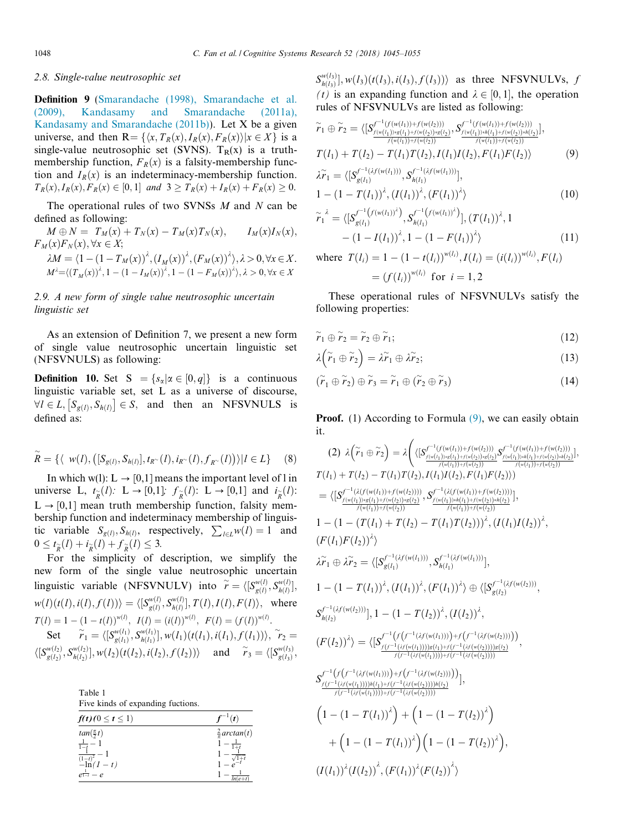## <span id="page-3-0"></span>2.8. Single-value neutrosophic set

Definition 9 ([Smarandache \(1998\), Smarandache et al.](#page-10-0) [\(2009\), Kandasamy and Smarandache \(2011a\),](#page-10-0) [Kandasamy and Smarandache \(2011b\)\)](#page-10-0). Let X be a given universe, and then  $\mathbf{R} = \{ \langle x, T_R(x), I_R(x), F_R(x) \rangle | x \in X \}$  is a single-value neutrosophic set (SVNS).  $T_R(x)$  is a truthmembership function,  $F_R(x)$  is a falsity-membership function and  $I_R(x)$  is an indeterminacy-membership function.  $T_R(x), I_R(x), F_R(x) \in [0,1]$  and  $3 \geq T_R(x) + I_R(x) + F_R(x) \geq 0$ .

The operational rules of two SVNSs  $M$  and  $N$  can be defined as following:

$$
M \oplus N = T_M(x) + T_N(x) - T_M(x)T_N(x), \qquad I_M(x)I_N(x),
$$
  
\n
$$
F_M(x)F_N(x), \forall x \in X;
$$
  
\n
$$
\lambda M = \langle 1 - (1 - T_M(x))^{\lambda}, (I_M(x))^{\lambda}, (F_M(x))^{\lambda}, \lambda > 0, \forall x \in X.
$$
  
\n
$$
M^{\lambda} = \langle (T_M(x))^{\lambda}, 1 - (1 - I_M(x))^{\lambda}, 1 - (1 - F_M(x))^{\lambda}, \lambda > 0, \forall x \in X
$$

# 2.9. A new form of single value neutrosophic uncertain linguistic set

As an extension of Definition 7, we present a new form of single value neutrosophic uncertain linguistic set (NFSVNULS) as following:

**Definition 10.** Set  $S = \{s_{\alpha} | \alpha \in [0, q]\}$  is a continuous linguistic variable set, set L as a universe of discourse,  $\forall l \in L, [S_{g(l)}, S_{h(l)}] \in S$ , and then an NFSVNULS is defined as:

$$
\widetilde{R} = \{ \langle w(l), ([S_{g(l)}, S_{h(l)}], t_{R} \sim (l), i_{R} \sim (l), f_{R} \sim (l)) \rangle | l \in L \} \quad (8)
$$

In which w(l):  $L \rightarrow [0,1]$  means the important level of l in universe L,  $t_{\tilde{R}}(l)$ : L  $\rightarrow$  [0,1];  $f_{\tilde{R}}(l)$ : L  $\rightarrow$  [0,1] and  $i_{\tilde{R}}(l)$ :  $L \rightarrow [0,1]$  mean truth membership function, falsity membership function and indeterminacy membership of linguistic variable  $S_{g(l)}, S_{h(l)},$  respectively,  $\sum_{l \in L} w(l) = 1$  and  $0 \le t, (l) + i, (l) + f, (l) \le 3$  $0 \leq t_{\widetilde{R}}(l) + i_{\widetilde{R}}(l) + f_{\widetilde{R}}(l) \leq 3.$ <br>For the simplicity of

For the simplicity of description, we simplify the new form of the single value neutrosophic uncertain linguistic variable (NFSVNULV) into  $\widetilde{r} = \langle [S_{g(l)}^{w(l)}, S_{h(l)}^{w(l)}],$  $w(I)(t(I), i(I), f(I)) \rangle = \langle [S_{g(I)}^{w(I)}, S_{h(I)}^{w(I)}], T(I), I(I), F(I) \rangle,$  where  $T(l) = 1 - (1 - t(l))^{w(l)}, \ I(l) = (i(l))^{w(l)}, \ F(l) = (f(l))^{w(l)}.$ **Set**  $\widetilde{r}_1 = \langle [S_{g(l_1)}^{w(l_1)}, S_{h(l_1)}^{w(l_1)}], w(l_1)(t(l_1), i(l_1), f(l_1)) \rangle, \widetilde{r}_2 =$ 

| $\langle [S_{g(l_2)}^{w(l_2)}, S_{h(l_2)}^{w(l_2)}], w(l_2)(t(l_2), t(l_2), f(l_2))\rangle$ and $\widetilde{r}_3 = \langle [S_{g(l_3)}^{w(l_3)},$ |  |
|---------------------------------------------------------------------------------------------------------------------------------------------------|--|

Table 1 Five kinds of expanding fuctions.

| $f(t)$ (0 $\leq$ t $\leq$ 1)                                                    | $^{c-1}(t)$              |
|---------------------------------------------------------------------------------|--------------------------|
| $tan(\frac{\pi}{2}t)$<br>$\frac{(1-t)^2}{- \ln(1-t)}$<br>$\frac{1}{1-t} = \rho$ | $\frac{2}{\pi}arctan(t)$ |

 $S_{h(t_3)}^{w(t_3)}$ ,  $w(t_3)(t(t_3), i(t_3), f(t_3))$  as three NFSVNULVs, f<br>h(t) is an away directly englished by  $S_{h(t_3)}^{w(t_3)}$ (t) is an expanding function and  $\lambda \in [0, 1]$ , the operation rules of NFSVNULVs are listed as following:

$$
\widetilde{r}_1 \oplus \widetilde{r}_2 = \langle [S_{\frac{f(w(l_1)) + g(w(l_2)))}{f(w(l_1)) + g(w(l_2))}}^{f^{-1}(f(w(l_1)) + f(w(l_2)))} S_{\frac{f(w(l_1)) + h(l_1) + f(w(l_2))}{f(w(l_1)) + h(l_1) + f(w(l_2))}}^{f^{-1}(f(w(l_1)) + f(w(l_2)))}
$$
\n
$$
T(l_1) + T(l_2) - T(l_1)T(l_2), I(l_1)I(l_2), F(l_1)F(l_2)
$$
\n
$$
\widetilde{r}_1 \widetilde{r}_2 \widetilde{r}_1 = \langle [S_{\frac{f(w(l_1)))}{f(w(l_1))}} \rangle \widetilde{S_{\frac{f^{-1}(f(w(l_1)))}{f(w(l_1))}}^{f^{-1}(f(w(l_1)))}}}
$$
\n
$$
\widetilde{S_{\frac{f(w(l_1))}{f(w(l_1))}}^{f^{-1}(f(w(l_1)))}} \widetilde{S_{\frac{f(w(l_1))}{f(w(l_1))}}^{f^{-1}(f(w(l_1)))}} \tag{9}
$$

$$
\lambda \widetilde{r}_1 = \langle [S_{g(l_1)}^{f^{-1}(\lambda f(w(l_1))), S_{h(l_1)}^{f^{-1}(\lambda f(w(l_1)))}],
$$
  
1 - (1 - T(l\_1))<sup>2</sup>, (I(l\_1))<sup>2</sup>, (F(l\_1))<sup>2</sup> \rangle (10)

$$
\widetilde{r}_{1}^{\lambda} = \langle [S_{g(l_{1})}^{f^{-1}(f(w(l_{1}))^{\lambda}}), S_{h(l_{1})}^{f^{-1}(f(w(l_{1}))^{\lambda}}], (T(l_{1}))^{\lambda}, 1 - (1 - I(l_{1}))^{\lambda}, 1 - (1 - F(l_{1}))^{\lambda} \rangle
$$
\n(11)

where  $T(l_i) = 1 - (1 - t(l_i))^{w(l_i)}, I(l_i) = (i(l_i))^{w(l_i)}, F(l_i)$  $=(f(l_i))^{w(l_i)}$  for  $i = 1, 2$ 

These operational rules of NFSVNULVs satisfy the following properties:

$$
\widetilde{r}_1 \oplus \widetilde{r}_2 = \widetilde{r}_2 \oplus \widetilde{r}_1; \tag{12}
$$

$$
\lambda(\widetilde{r}_1 \oplus \widetilde{r}_2) = \lambda \widetilde{r}_1 \oplus \lambda \widetilde{r}_2; \tag{13}
$$

$$
(\widetilde{r}_1 \oplus \widetilde{r}_2) \oplus \widetilde{r}_3 = \widetilde{r}_1 \oplus (\widetilde{r}_2 \oplus \widetilde{r}_3)
$$
\n(14)

**Proof.** (1) According to Formula (9), we can easily obtain it.

$$
(2) \ \lambda (\widetilde{r}_{1} \oplus \widetilde{r}_{2}) = \lambda \Big( \langle [S_{\frac{f(v(l_{1}))+f(w(l_{2}))}{f(v(l_{1}))+f(w(l_{2}))}}^{f^{-1}(f(w(l_{1}))+f(w(l_{2}))}) S_{\frac{f(v(l_{1}))+f(v(l_{2}))}{f(v(l_{1}))+f(v(l_{2}))}}^{f^{-1}(f(w(l_{1}))+f(w(l_{2}))})}
$$
\n
$$
T(l_{1}) + T(l_{2}) - T(l_{1})T(l_{2}), I(l_{1})I(l_{2}), F(l_{1})F(l_{2}))
$$
\n
$$
= \langle [S_{\frac{f(v(l_{1}))+g(l_{1})+f(w(l_{2})))}{f(v(l_{1}))+f(w(l_{2}))}}^{f^{-1}(i(f(w(l_{1}))+f(v(l_{2})))})],
$$
\n
$$
= \langle [S_{\frac{f(v(l_{1}))+g(v(l_{1})+f(w(l_{2}))+g(l_{2})}{f(v(l_{1}))+f(v(l_{2}))}}^{f^{-1}(i(f(w(l_{1}))+f(v(l_{2})))+h(l_{2}))})],
$$
\n
$$
1 - (1 - (T(l_{1}) + T(l_{2}) - T(l_{1})T(l_{2}))^{2}, (I(l_{1})I(l_{2}))^{2},
$$
\n
$$
(\widetilde{F}(l_{1})F(l_{2}))^{2})
$$
\n
$$
\lambda \widetilde{r}_{1} \oplus \lambda \widetilde{r}_{2} = \langle [S_{g(l_{1})}^{f^{-1}(i(f(w(l_{1})))}, S_{h(l_{1})}^{f^{-1}(i(f(w(l_{1})))})],
$$
\n
$$
1 - (1 - T(l_{1}))^{2}, (I(l_{1}))^{2}, (F(l_{1}))^{2} \oplus \langle [S_{g(l_{2})}^{f^{-1}(i(f(w(l_{2}))))}, S_{h(l_{2})}^{f^{-1}(i(f(w(l_{2}))))})],
$$
\n
$$
S_{h(l_{2})}^{f^{-1}(i(f(w(l_{2}))))}, 1 - (1 - T(l_{2}))^{2}, (I(l_{2}))^{2},
$$
\n
$$
S_{h(l_{2})}^{f^{-1}(i(f(w(l_{1}))))+f(f^{-1}(i(f(w(l_{2}))))));
$$
\n
$$
S_{\frac{f^{-1}(f(f^{-1}(i(f(w(l_{1}))))+f(f^{-1}(i(f(w(l_{2
$$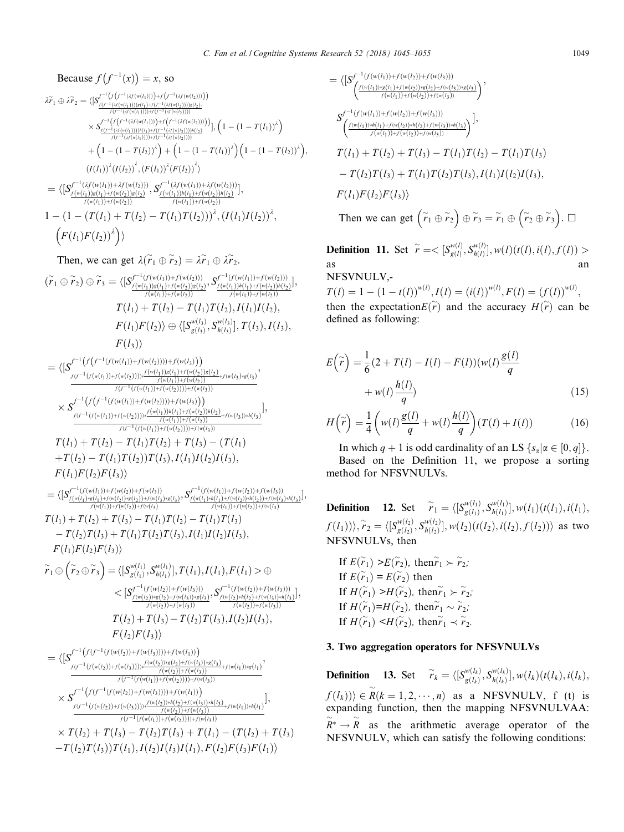<span id="page-4-0"></span>Because 
$$
f(f^{-1}(x)) = x
$$
, so  
\n
$$
\lambda \tilde{r}_1 \oplus \lambda \tilde{r}_2 = \langle [S_{\frac{f(f^{-1}(f(f^{-1}(\lambda f(w(l_1)))) + f(f^{-1}(\lambda f(w(l_2))))))}{f(f^{-1}(\lambda f(w(l_1)))) + f(f^{-1}(\lambda f(w(l_2))))))})\rangle} \times S_{\frac{f^{-1}(f(f^{-1}(\lambda f(w(l_1)))) + f(f^{-1}(\lambda f(w(l_2)))))))}{f(f^{-1}(\lambda f(w(l_1)))) + f(f^{-1}(\lambda f(w(l_2))))))})}, \quad \times S_{\frac{f(f^{-1}(\lambda f(w(l_1)))) + f(f^{-1}(\lambda f(w(l_2)))))(h(l_2))}{f(f^{-1}(\lambda f(w(l_1)))) + f(f^{-1}(\lambda f(w(l_2))))))})}, \quad (1 - (1 - T(l_1))^{\lambda})
$$
\n
$$
+ (1 - (1 - T(l_2))^{\lambda}) + (1 - (1 - T(l_1))^{\lambda}) (1 - (1 - T(l_2))^{\lambda}),
$$
\n
$$
(I(l_1))^{\lambda}(I(l_2))^{\lambda}, (F(l_1))^{\lambda}(F(l_2))^{\lambda})
$$
\n
$$
= \langle [S_{\frac{f(w(l_1))g(l_1) + f(w(l_2))g(l_2)}{f(w(l_1)) + f(w(l_2))})}, S_{\frac{f(w(l_1))h(l_1) + f(w(l_2))h(l_2)}{f(w(l_1)) + f(w(l_2))})}]
$$
\n
$$
1 - (1 - (T(l_1) + T(l_2) - T(l_1)T(l_2)))^{\lambda}, (I(l_1)I(l_2))^{\lambda},
$$
\n
$$
(F(l_1)F(l_2))^{\lambda})
$$

Then, we can get 
$$
\lambda(\tilde{r}_1 \oplus \tilde{r}_2) = \lambda \tilde{r}_1 \oplus \lambda \tilde{r}_2
$$
.  
\n
$$
(\tilde{r}_1 \oplus \tilde{r}_2) \oplus \tilde{r}_3 = \langle [S_{\underline{f(w(l_1))g(l_1)+f(w(l_2))})}^{f^{-1}(f(w(l_1))+f(w(l_2)))} S_{\underline{f(w(l_1))h(l_1)+f(w(l_2))h(l_2)}}^{f^{-1}(f(w(l_1))+f(w(l_2)))} J_{\underline{f(w(l_1))h(l_1)+f(w(l_2))}}^{(w(l_1))+(w(l_2))} J_{\underline{f(w(l_1))h(l_1)+f(w(l_2))}}^{(w(l_1))+(w(l_2))} J_{\underline{f(w(l_1))h(l_1)}^{(w(l_1))+(w(l_2))}}^{(w(l_1))+(w(l_2)))(g(l_2), f(l_1))} J_{\underline{f(l_3)}^{(k)}}^{(l_3)}, J_{\underline{h(l_3)}}^{(l_3)}], T(l_3), I(l_3), F(l_3), F(l_3) \rangle
$$

$$
= \langle [S^{\int_{f(f^{-1}(f(w(l_1))+f(w(l_2))))+f(w(l_3)))}}^{\int_{f(f^{-1}(f(w(l_1))+f(w(l_2))))+f(w(l_3)))}}^{\int_{f(v(l_1))}^{\int_{f(v(l_1))}^{\int_{f(v(l_2))}^{\int_{f(v(l_2))}^{\int_{f(v(l_2))}^{\int_{f(v(l_3))}^{\int_{f(v(l_3))}^{\int_{f(v(l_3))}^{\int_{f(v(l_3))}^{\int_{f(v(l_3))}^{\int_{f(v(l_3))}^{\int_{f(v(l_3))}^{\int_{f(v(l_3))}^{\int_{f(v(l_3))}^{\int_{f(v(l_3))}^{\int_{f(v(l_3))}^{\int_{f(v(l_3))}^{\int_{f(v(l_3))}^{\int_{f(v(l_3))}^{\int_{f(v(l_3))}^{\int_{f(v(l_3))}^{\int_{f(v(l_3))}^{\int_{f(v(l_3))}^{\int_{f(v(l_3))}^{\int_{f(v(l_3))}^{\int_{f(v(l_3))}^{\int_{f(v(l_3))}^{\int_{f(v(l_3))}^{\int_{f(v(l_3))}^{\int_{f(v(l_3))}^{\int_{f(v(l_3))}^{\int_{f(v(l_3))}^{\int_{f(v(l_3))}^{\int_{f(v(l_3))}^{\int_{f(v(l_3))}^{\int_{f(v(l_3))}^{\int_{f(v(l_3))}^{\int_{f(v(l_3))}^{\int_{f(v(l_3))}^{\int_{f(v(l_3))}^{\int_{f(v(l_3))}^{\int_{f(v(l_3))}^{\int_{f(v(l_3))}^{\int_{f(v(l_3))}^{\int_{f(v(l_3))}^{\int_{f(v(l_3))}^{\int_{f(v(l_3))}^{\int_{f(v(l_3))}^{\int_{f(v(l_3))}^{\int_{f(v(l_3))}^{\int_{f(v(l_3))}^{\int_{f(v(l_3))}^{\int_{f(v(l_3))}^{\int_{f(v(l_3))}^{\int_{f(v(l_3))}^{\int_{f(v(l_3))}^{\int_{f(v(l_3))}^{\int_{f(v(l_3))}^{\int_{f(v(l_3))}^{\int_{f(v(l_3))}^{\int_{f(v(l_3))}^{\int_{f(v(l_3))}^{\int_{f(v(l_3))}^{\int
$$

$$
= \langle [S_{\underline{f(w(l_1))+f(w(l_2))+f(w(l_3))+f(w(l_3))}}^{\underline{f(w(l_1))+f(w(l_2))+f(w(l_3))}};S_{\underline{f(w(l_1)+h(v(l_2))+f(w(l_2))+f(w(l_3))})}}^{\underline{f(w(l_1)+f(w(l_2))+f(w(l_2))+f(w(l_3)))+f(w(l_2))+f(w(l_3)))+f(w(l_3))}{f(w(l_1)+f(w(l_2))+f(w(l_3))})}};\\T(l_1) + T(l_2) + T(l_3) - T(l_1)T(l_2) - T(l_1)T(l_3) - T(l_1)T(l_3) - T(l_2)T(l_3) + T(l_1)T(l_2)T(l_3), I(l_1)I(l_2)I(l_3),\\F(l_1)F(l_2)F(l_3)\rangle
$$

$$
\widetilde{r}_1 \oplus (\widetilde{r}_2 \oplus \widetilde{r}_3) = \langle [S_{g(l_1)}^{\mathbf{w}(l_1)}, S_{h(l_1)}^{\mathbf{w}(l_1)}], T(l_1), I(l_1), F(l_1) > \oplus \n\leq [S_{f(\mathbf{w}(l_2)) * g(l_2) + f(\mathbf{w}(l_3)))}^{f^{-1}(f(\mathbf{w}(l_2)) + f(\mathbf{w}(l_3)))}, S_{f(\mathbf{w}(l_2) + f(\mathbf{w}(l_3))) + h(l_3)}^{f^{-1}(f(\mathbf{w}(l_2)) + f(\mathbf{w}(l_3)))}, S_{f(\mathbf{w}(l_2) + h(l_2) + f(\mathbf{w}(l_3))) + h(l_3)}^{f^{-1}(f(\mathbf{w}(l_2)) + f(\mathbf{w}(l_3)))},
$$
\n
$$
T(l_2) + T(l_3) - T(l_2)T(l_3), I(l_2)I(l_3),
$$
\n
$$
F(l_2)F(l_3) \rangle
$$

$$
= \langle [S^{\int_{-1}^{1}(f(f^{-1}(f(w(l_2)))+f(w(l_3))))+f(w(l_1)))}\n= \langle [S^{\int_{-1}^{1}(f(w(l_2))+f(w(l_3))))+g(v_{2}+g(l_2)+f(w(l_3))+g(l_3)}\n= \frac{f(f^{-1}(f(w(l_2))+f(w(l_2)))+f(w(l_3)))}{f(f^{-1}(f(w(l_1)))+f(w(l_2))))+f(w(l_3)))}\n\times S^{\int_{-1}^{1}(f(f^{-1}(f(w(l_2)))+f(w(l_3))))+f(w(l_1)))}{f(w(l_2))+f(w(l_3)))+f(w(l_3))}\n= \frac{f(f^{-1}(f(w(l_2)))+f(w(l_3)))+f(w(l_3))}{f(w(l_2))+f(w(l_3)))+f(w(l_1))} + f(w(l_1))+f(w(l_1))}\n\times T(l_2) + T(l_3) - T(l_2)T(l_3) + T(l_1) - (T(l_2) + T(l_3) - T(l_2)T(l_3))T(l_1), I(l_2)I(l_3)I(l_1), F(l_2)F(l_3)F(l_1) \rangle
$$

$$
= \langle [S^{\int_{-\frac{f(w(l_1))+f(w(l_2))+f(w(l_3)))}{f(w(l_1)+f(w(l_2))+g(l_2)+f(w(l_3))+g(l_3)}})}^{\sqrt{f(w(l_1))+f(w(l_2))+f(w(l_2))+f(w(l_3))+g(l_3)}})}^{\sqrt{f(w(l_1))+g(l_1)+f(w(l_2))+f(w(l_3)))}}^{\sqrt{f(w(l_1))+f(w(l_2))+f(w(l_3)))}}},
$$
  

$$
S^{\int_{-\frac{f(w(l_1))+h(l_1)+f(w(l_2))+f(w(l_3))+f(w(l_3))+h(l_3)}{f(w(l_1))+f(w(l_2))+f(w(l_3))}}^{\sqrt{f(w(l_1)+f(w(l_2))+f(w(l_3))})}}^{\sqrt{f(w(l_1)+f(w(l_2))+f(w(l_3))})}}^{\sqrt{f(w(l_1)+f(w(l_2)+f(w(l_3))))}}^{\sqrt{f(w(l_1)+f(w(l_2)+f(w(l_3)))+f(w(l_3))}}^{\sqrt{f(w(l_1)+f(w(l_3)+f(w(l_3)))+f(w(l_3))}}^{\sqrt{f(w(l_1)+f(w(l_3)+f(w(l_3)))+f(w(l_3))}}^{\sqrt{f(w(l_1)+f(w(l_2)+f(w(l_3)))+f(w(l_3))})}}^{\sqrt{f(w(l_1))+f(w(l_2)+f(w(l_3)))+f(w(l_3))})}}^{\sqrt{f(w(l_1))+f(w(l_2)+f(w(l_3)))+f(w(l_3))})}}
$$
  
*Then we can get* 
$$
(\tilde{r}_1 \oplus \tilde{r}_2) \oplus \tilde{r}_3 = \tilde{r}_1 \oplus (\tilde{r}_2 \oplus \tilde{r}_3) \square
$$

**Definition 11.** Set  $\widetilde{r} = \langle [S_{g(l)}^{w(l)}, S_{h(l)}^{w(l)}], w(l)(t(l), i(l), f(l)) \rangle$ as an

NFSVNULV,-

 $T(l) = 1 - (1 - t(l))^{w(l)}, I(l) = (i(l))^{w(l)}, F(l) = (f(l))^{w(l)},$ then the expectation  $E(r)$  and the accuracy  $H(r)$  can be defined as following: defined as following:

$$
E(\tilde{r}) = \frac{1}{6}(2 + T(l) - I(l) - F(l)) (w(l) \frac{g(l)}{q} + w(l) \frac{h(l)}{q})
$$
\n(15)

$$
H(\widetilde{r}) = \frac{1}{4} \left( w(l) \frac{g(l)}{q} + w(l) \frac{h(l)}{q} \right) (T(l) + I(l)) \tag{16}
$$

In which  $q + 1$  is odd cardinality of an LS  $\{s_\alpha | \alpha \in [0, q] \}.$ Based on the Definition 11, we propose a sorting method for NFSVNULVs.

**Definition** 12. Set  $\widetilde{r}_1 = \langle [S_{g(l_1)}^{w(l_1)}, S_{h(l_1)}^{w(l_1)}], w(l_1)(t(l_1), i(l_1)), \rangle$  $f(l_1)$ )),  $\widetilde{r}_2 = \langle [S_{g(l_2)}^{w(l_2)}, S_{h(l_2)}^{w(l_2)}], w(l_2)(t(l_2), t(l_2), f(l_2)) \rangle$  as two NFSVNULVs, then

If  $E(\tilde{r}_1) \geq E(\tilde{r}_2)$ , then  $\tilde{r}_1 \succ \tilde{r}_2$ ;<br>
If  $E(\tilde{r}_1) = E(\tilde{r}_1)$ , then If  $E(\tilde{r}_1) = E(\tilde{r}_2)$  then If  $H(\tilde{r}_1) > H(\tilde{r}_2)$ , then  $\tilde{r}_1 > \tilde{r}_2$ ;<br>
If  $H(\tilde{r}_1) = H(\tilde{r}_1)$ , then  $\tilde{r}_2$ If  $H(\tilde{r}_1) = H(\tilde{r}_2)$ , then  $\tilde{r}_1 \sim \tilde{r}_2$ ; If  $H(r_1) \leq H(r_2)$ , then  $r_1 \prec r_2$ .

## 3. Two aggregation operators for NFSVNULVs

**Definition 13.** Set  $\widetilde{r}_k = \langle [S_{g(l_k)}^{w(l_k)}, S_{h(l_k)}^{w(l_k)}], w(l_k)(t(l_k), i(l_k),$  $f(l_k)$ ))  $\in R(k = 1, 2, \dots, n)$  as a NFSVNULV, f (t) is expanding function, then the mapping NFSVNULVAA:  $R^* \to R$  as the arithmetic average operator of the NESVNUL V which can satisfy the following conditions: NFSVNULV, which can satisfy the following conditions: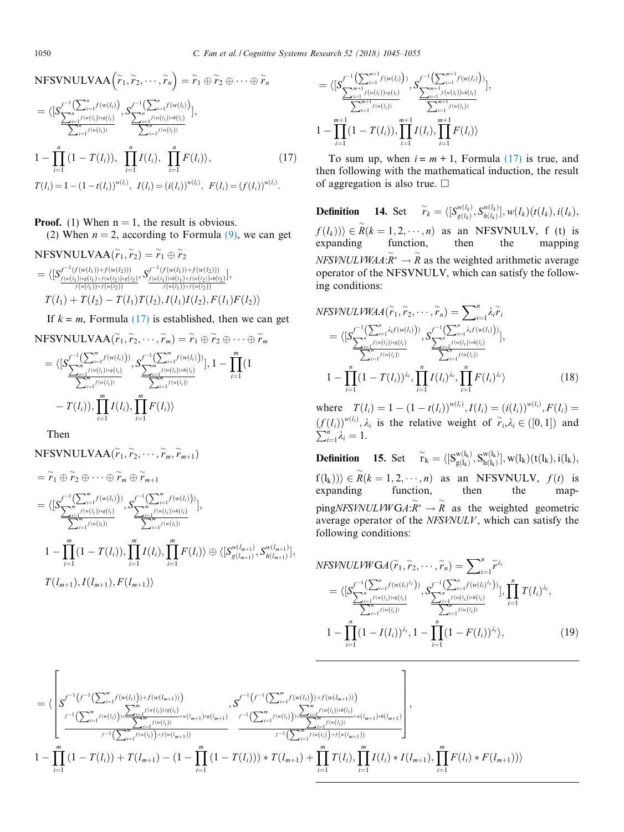$$
\begin{split}\n\text{NFSVNULVAA}\left(\widetilde{r}_{1}, \widetilde{r}_{2}, \cdots, \widetilde{r}_{n}\right) &= \widetilde{r}_{1} \oplus \widetilde{r}_{2} \oplus \cdots \oplus \widetilde{r}_{n} \\
&= \langle [S_{\sum_{i=1}^{n} f(w(l_{i})) \cdot g(l_{i})}^{f^{-1}(\sum_{i=1}^{n} f(w(l_{i}))})}, S_{\sum_{i=1}^{n} f(w(l_{i})) \cdot h(l_{i})}^{f^{-1}(\sum_{i=1}^{n} f(w(l_{i}))})], \\
1 - \prod_{i=1}^{n} (1 - T(l_{i})), \prod_{i=1}^{n} I(l_{i}), \prod_{i=1}^{n} F(l_{i})\rangle, \\
T(l_{i}) &= 1 - (1 - t(l_{i}))^{w(l_{i})}, \quad I(l_{i}) = (i(l_{i}))^{w(l_{i})}, \quad F(l_{i}) = (f(l_{i}))^{w(l_{i})}.\n\end{split} \tag{17}
$$

**Proof.** (1) When  $n = 1$ , the result is obvious. (2) When  $n = 2$ , according to Formula [\(9\),](#page-3-0) we can get

$$
\begin{aligned} &\text{NFSVNULVAA}(\dot{r}_1, \dot{r}_2) = \dot{r}_1 \oplus \dot{r}_2 \\ &= \langle [S_{\frac{f^{(w(l_1)) + f(w(l_2)))}{f(w(l_1)) + f(w(l_2)) + g(l_2)}}^{f^{-1}(f(w(l_1)) + f(w(l_1))) + f(w(l_2)))}{f(w(l_1)) + f(w(l_2))}}], \\ &T(l_1) + T(l_2) - T(l_1)T(l_2), I(l_1)I(l_2), F(l_1)F(l_2) \rangle \end{aligned}
$$

If  $k = m$ , Formula [\(17\)](#page-4-0) is established, then we can get

$$
\begin{split} &\text{NFSVNULVAA}(\widetilde{r}_1, \widetilde{r}_2, \cdots, \widetilde{r}_m) = \widetilde{r}_1 \oplus \widetilde{r}_2 \oplus \cdots \oplus \widetilde{r}_m \\ & = \langle [S_{\sum_{i=1}^m f^{(w(l_i))}}^{\sum_{i=1}^m f^{(w(l_i))}}], S_{\sum_{i=1}^m f^{(w(l_i))}}^{\sum_{i=1}^m f^{(w(l_i))}}], 1 - \prod_{i=1}^m (1 \\ & \sum_{i=1}^m f^{(w(l_i))} \\ & - T(l_i)), \prod_{i=1}^m I(l_i), \prod_{i=1}^m F(l_i) \rangle \end{split}
$$

Then

 $NFSVNULVAA(\tilde{r}_1, \tilde{r}_2, \cdots, \tilde{r}_m, \tilde{r}_{m+1})$ 

 $\sim$   $\sim$ 

$$
= \tilde{r}_1 \oplus \tilde{r}_2 \oplus \cdots \oplus \tilde{r}_m \oplus \tilde{r}_{m+1}
$$
  
\n
$$
= \langle [S \sum_{i=1}^{n} f^{(w(l_i))}, S \sum_{i=1}^{n} f^{(w(l_i))}) \rangle, S \sum_{i=1}^{n} f^{(w(l_i))+s(l_i)} \rangle, S \sum_{i=1}^{n} f^{(w(l_i))+s(l_i)} \rangle, \sum_{i=1}^{n} f^{(w(l_i))+s(l_i)} \rangle
$$
  
\n
$$
1 - \prod_{i=1}^{m} (1 - T(l_i)), \prod_{i=1}^{m} I(l_i), \prod_{i=1}^{m} F(l_i) \oplus \langle [S \chi^{w(l_{m+1})}, S \chi^{w(l_{m+1})}] \rangle, \Gamma(l_{m+1}), F(l_{m+1}), F(l_{m+1}) \rangle
$$

$$
= \langle [S\frac{\sum_{i=1}^{m+1} f(w(l_i))}{\sum_{i=1}^{m+1} f(w(l_i))^{*s(l_i)}}, S\frac{\sum_{i=1}^{m+1} f(w(l_i))}{\sum_{i=1}^{m+1} f(w(l_i))^{*h(l_i)}}],
$$
  

$$
1 - \prod_{i=1}^{m+1} (1 - T(l_i)), \prod_{i=1}^{m+1} I(l_i), \prod_{i=1}^{m+1} F(l_i))
$$

To sum up, when  $i = m + 1$ , Formula [\(17\)](#page-4-0) is true, and then following with the mathematical induction, the result of aggregation is also true.  $\Box$ 

**Definition** 14. Set  $\widetilde{r}_k = \langle [S_{g(l_k)}^{w(l_k)}, S_{h(l_k)}^{w(l_k)}], w(l_k)(t(l_k), i(l_k),$  $f(l_k)) \in R(k = 1, 2, \dots, n)$  as an NFSVNULV, f (t) is<br>expanding function then the manning expanding function, then the mapping  $NFSWULVWA: R^* \rightarrow R$  as the weighted arithmetic average<br>operator of the NESVNULV which can satisfy the followoperator of the NFSVNULV, which can satisfy the following conditions:

$$
NFSWULVWAA(\tilde{r}_1, \tilde{r}_2, \cdots, \tilde{r}_n) = \sum_{i=1}^n \lambda_i \tilde{r}_i
$$
  
=  $\langle [S_{\sum_{i=1}^n \lambda_i f(w(i_i))}, S_{\sum_{i=1}^n \lambda_i f(w(i_i))}^{r-1} \sum_{i=1}^n \lambda_i f(w(i_i))}]_1,$   

$$
\sum_{i=1}^n f(w(i_i))^{*g(i)}} \sum_{i=1}^n f(w(i_i))^{*h(i)}} \sum_{i=1}^n f(w(i_i))
$$
  

$$
1 - \prod_{i=1}^n (1 - T(l_i))^{\lambda_i}, \prod_{i=1}^n I(l_i)^{\lambda_i}, \prod_{i=1}^n F(l_i)^{\lambda_i}
$$
 (18)

where  $T(l_i) = 1 - (1 - t(l_i))^{w(l_i)}$ ,  $I(l_i) = (i(l_i))^{w(l_i)}$ ,  $F(l_i) = (f(l_i))^{w(l_i)}$ ,  $F(l_i) = (f(l_i))^{w(l_i)}$ ,  $F(l_i)$  $(f(l_i))^{w(l_i)}, \lambda_i$  is the relative weight of  $\tilde{r}_i, \lambda_i \in ([0,1])$  and  $\sum_{i=1}^n \lambda_i = 1$ .  $\sum_{i=1}^n \lambda_i = 1.$ 

**Definition** 15. Set  $\widetilde{r}_k = \langle [S_{g(l_k)}^{w(l_k)}, S_{h(l_k)}^{w(l_k)}], w(l_k)(t(l_k), i(l_k),$  $f(l_k)$ )  $\in R(k = 1, 2, \dots, n)$  as an NFSVNULV,  $f(t)$  is<br>expanding function then the manexpanding function, then the mapping*NFSVNULVW* GA: $R^* \rightarrow R$  as the weighted geometric<br>average operator of the *NFSVNULV* which can satisfy the average operator of the  $NFSWULV$ , which can satisfy the following conditions:

$$
NFSVNULVWGA(\widetilde{r}_1, \widetilde{r}_2, \cdots, \widetilde{r}_n) = \sum_{i=1}^n \widetilde{r}^{\lambda_i}
$$
  
=  $\langle [S\sum_{i=1}^n f^{(w(l_i)\lambda_i})^{k_i}, S\sum_{i=1}^{n-1} f^{(w(l_i)\lambda_i)}^{n_i}] \rangle, S\sum_{i=1}^{n-1} f^{(w(l_i)\lambda_i)}^{n-1} \rangle, \sum_{i=1}^n T(l_i)^{\lambda_i}, \sum_{i=1}^{n-1} f^{(w(l_i))} \sum_{i=1}^{n-1} f^{(w(l_i))} \rangle, \sum_{i=1}^n (1 - F(l_i))^{\lambda_i}, 1 - \prod_{i=1}^n (1 - F(l_i))^{\lambda_i} \rangle, (19)$ 

$$
= \langle \left[ S^{\int_{-1}^{1} \left( \sum_{i=1}^{m} f(w(l_{i})) \right) + f(w(l_{m+1}))} \right]_{\sum_{j=1}^{m} f(w(l_{i})) \times \sum_{i=1}^{m} f(w(l_{i})) \times \sum_{i=1}^{m} f(w(l_{i})) \times \sum_{i=1}^{m} f(w(l_{i})) \times \sum_{i=1}^{m} f(w(l_{i})) \times \sum_{i=1}^{m} f(w(l_{i})) \times \sum_{i=1}^{m} f(w(l_{i})) \times \sum_{i=1}^{m} f(w(l_{i})) \times \sum_{i=1}^{m} f(w(l_{i})) \times \sum_{i=1}^{m} f(w(l_{i})) \times \sum_{i=1}^{m} f(w(l_{i})) \times \sum_{i=1}^{m} f(w(l_{i})) \times \sum_{i=1}^{m} f(w(l_{i})) \times \sum_{i=1}^{m} f(w(l_{i})) \times \sum_{i=1}^{m} f(w(l_{i})) \times \sum_{i=1}^{m} f(w(l_{i})) \times \sum_{i=1}^{m} f(w(l_{i})) \times \sum_{i=1}^{m} f(w(l_{i})) \times \sum_{i=1}^{m} f(w(l_{i})) \times \sum_{i=1}^{m} f(w(l_{i})) \times \sum_{i=1}^{m} f(w(l_{i})) \times \sum_{i=1}^{m} f(l_{i}) \times \sum_{i=1}^{m} f(l_{i}) \times \sum_{i=1}^{m} f(l_{i}) \times \sum_{i=1}^{m} f(l_{i}) \times \sum_{i=1}^{m} f(l_{i}) \times \sum_{i=1}^{m} f(l_{i}) \times \sum_{i=1}^{m} f(l_{i}) \times \sum_{i=1}^{m} f(l_{i}) \times \sum_{i=1}^{m} f(l_{i}) \times \sum_{i=1}^{m} f(l_{i}) \times \sum_{i=1}^{m} f(l_{i}) \times \sum_{i=1}^{m} f(l_{i}) \times \sum_{i=1}^{m} f(l_{i}) \times \sum_{i=1}^{m} f(l_{i}) \times \sum_{i=1}^{m} f(l_{i}) \times \sum_{i=1}^{m} f(l_{i}) \times \sum_{i=1}^{m} f(v(l_{i})) \times \sum_{i=1}^{m} f(v(l_{i})) \times \sum_{i=1}^{m} f(v(l_{i})) \times \sum
$$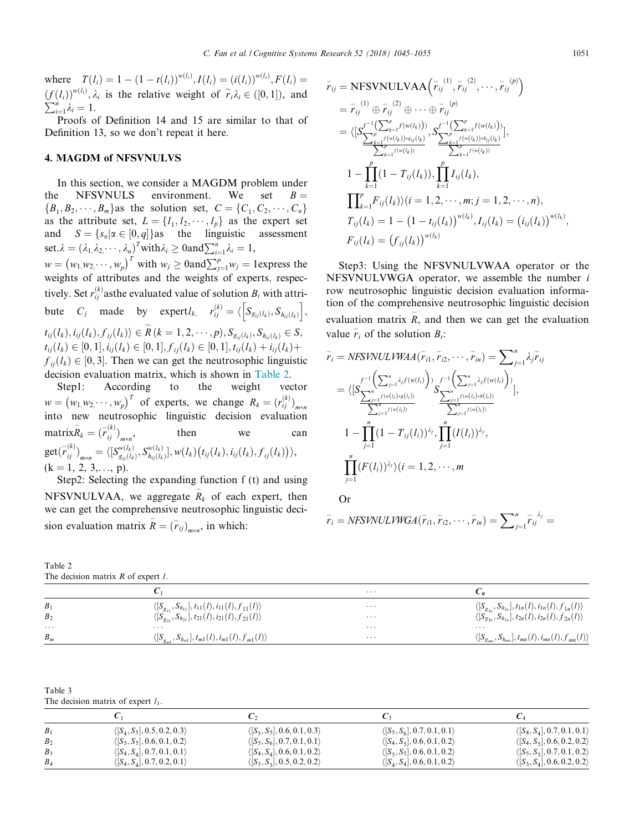<span id="page-6-0"></span>where  $T(l_i) = 1 - (1 - t(l_i))^{w(l_i)}, I(l_i) = (i(l_i))^{w(l_i)}, F(l_i) =$  $(f(l_i))^{w(l_i)}, \lambda_i$  is the relative weight of  $\tilde{r}_i \lambda_i \in ([0,1])$ , and  $\sum_{i=1}^n \lambda_i = 1$ .  $\sum_{i=1}^n \lambda_i = 1.$ 

Proofs of Definition 14 and 15 are similar to that of Definition 13, so we don't repeat it here.

# 4. MAGDM of NFSVNULVS

In this section, we consider a MAGDM problem under the NFSVNULS environment. We set  $B = \{R, R_2, \ldots, R_n\}$  as the solution set  $C = \{C, C_2, \ldots, C_n\}$  $\{B_1, B_2, \dots, B_m\}$  as the solution set,  $C = \{C_1, C_2, \dots, C_n\}$ <br>as the attribute set  $I = \{I_1, I_2, \dots, I_n\}$  as the expert set as the attribute set,  $L = \{l_1, l_2, \dots, l_p\}$  as the expert set and  $S = \{s_{\alpha} | \alpha \in [0, q] \}$  as the linguistic assessment  $\operatorname{set.}\lambda = (\lambda_1, \lambda_2, \cdots, \lambda_n)^T \text{with } \lambda_i \ge 0 \text{ and } \sum_{i=1}^n \lambda_i = 1,$ 

 $w = (w_1, w_2, \dots, w_p)^T$  with  $w_j \ge 0$  and  $\sum_{j=1}^p w_j = 1$  express the weights of attributes and the weights of experts; respectively. Set  $r_{ij}^{(k)}$  asthe evaluated value of solution  $B_i$  with attribute  $C_j$  made by  $\text{expert } l_{k, r_{ij}^{(k)}} = \langle \left[ S_{g_{ij}(l_k)}, S_{h_{ij}(l_k)} \right],$  $t_{ij}(l_k), i_{ij}(l_k), f_{ij}(l_k) \in R (k = 1, 2, \cdots, p), S_{g_{ij}(l_k)}, S_{h_{ij}(l_k)} \in S,$  $t_{ij}(l_k) \in [0, 1], i_{ij}(l_k) \in [0, 1], f_{ij}(l_k) \in [0, 1], t_{ij}(l_k) + i_{ij}(l_k) +$  $f_{ii}(l_k) \in [0, 3]$ . Then we can get the neutrosophic linguistic decision evaluation matrix, which is shown in Table 2.

Step1: According to the weight vector  $w = (w_{1,}w_{2,}\cdots,w_{p})^{T}$  of experts, we change  $R_{k} = (r_{ij}^{(k)})_{m+n}$  into new neutrosophic linguistic decision evaluation matrix $\bar{R}_k = (\bar{r}_{ij}^{(k)})$ ij Þ  $\frac{m*n}{n(1)}$ then we can  $get(\overline{r}_{ij}^{(k)})$  $\left\{ \begin{aligned} &\binom{(k)}{k} \end{aligned} \right\}_{m \ast n} = \langle [S^{\textit{w}(l_k)}_{g_{ij}(l_k)}, S^{\textit{w}(l_k)}_{h_{ij}(l_k)}], w(l_k) \big(t_{ij}(l_k), i_{ij}(l_k), f_{ij}(l_k)\big)\rangle,$  $(k = 1, 2, 3, \ldots, p).$ 

Step2: Selecting the expanding function f (t) and using NFSVNULVAA, we aggregate  $R_k$  of each expert, then we can get the comprehensive neutrosophic linguistic decision evaluation matrix  $R = (\bar{r}_{ij})_{m*n}$ , in which:

Table 2 The decision matrix  $R$  of expert  $l$ 

| $\bar{r}_{ij} = \text{NFSVNULVAA}\left(\bar{r}_{ij}^{(1)}, \bar{r}_{ij}^{(2)}, \cdots, \bar{r}_{ij}^{(p)}\right)$                                                                                                                                                                |
|----------------------------------------------------------------------------------------------------------------------------------------------------------------------------------------------------------------------------------------------------------------------------------|
| $=\vec{r}_{ii}^{(1)} \oplus \vec{r}_{ii}^{(2)} \oplus \cdots \oplus \vec{r}_{ii}^{(p)}$                                                                                                                                                                                          |
| $= \langle [S\frac{\sum_{k=1}^{p} f(w(l_{k}))}{\sum_{k=1}^{p} f(w(l_{k}))^{*} g_{ij}(l_{k})}, S\frac{\sum_{k=1}^{p-1} f(w(l_{k}))}{\sum_{k=1}^{p} f(w(l_{k}))^{*} h_{ij}(l_{k})} ] , \\ \frac{\sum_{k=1}^{p} f(w(l_{k}))^{*} h_{ij}(l_{k})}{\sum_{k=1}^{p} f(w(l_{k}))} \rangle$ |
| $1 - \prod (1 - T_{ij}(l_k)), \prod T_{ij}(l_k),$                                                                                                                                                                                                                                |
| $k-1$                                                                                                                                                                                                                                                                            |
| $\prod_{k=1}^{p} F_{ij}(l_k)$ $(i = 1, 2, \cdots, m; j = 1, 2, \cdots, n),$                                                                                                                                                                                                      |
| $T_{ij}(l_k) = 1 - (1 - t_{ij}(l_k))^{w(l_k)}, I_{ij}(l_k) = (i_{ij}(l_k))^{w(l_k)},$                                                                                                                                                                                            |
| $F_{ij}(l_k) = (f_{ij}(l_k))^{w(l_k)}$                                                                                                                                                                                                                                           |

Step3: Using the NFSVNULVWAA operator or the NFSVNULVWGA operator, we assemble the number  $i$ row neutrosophic linguistic decision evaluation information of the comprehensive neutrosophic linguistic decision evaluation matrix  $R$ , and then we can get the evaluation value  $r_i$  of the solution  $B_i$ :

$$
\overline{r}_{i} = NFSVNULVWAA(\overline{r}_{i1}, \overline{r}_{i2}, \cdots, \overline{r}_{in}) = \sum_{j=1}^{n} \lambda_{j} \overline{r}_{ij}
$$
\n
$$
= \langle [S \sum_{j=1}^{n} \lambda_{j}r_{(w(l_{i}))} S \sum_{j=1}^{n-1} \sum_{j=1}^{n} \lambda_{j}r_{(w(l_{i}))} S \sum_{j=1}^{n} \sum_{j=1}^{n} \sum_{j=1}^{r_{(w(l_{i})} * h(l_{i}))} \sum_{j=1}^{n} \sum_{j=1}^{n} \sum_{j=1}^{r_{(w(l_{i}))}} \sum_{j=1}^{n} \sum_{j=1}^{n} \sum_{j=1}^{r_{(w(l_{i}))}} \sum_{j=1}^{n} (I(I_{i}))^{\lambda_{j}},
$$
\n
$$
\prod_{j=1}^{n} (F(I_{i}))^{\lambda_{j}} \rangle (i = 1, 2, \cdots, m)
$$

Or

$$
\bar{r}_i = NFSVNULVWGA(\bar{r}_{i1}, \bar{r}_{i2}, \cdots, \bar{r}_{in}) = \sum_{j=1}^n \bar{r}_{ij}^{ \lambda_j} =
$$

|                | U1                                                                                                                                                                   | .        | Նո                                                                                                                                                         |
|----------------|----------------------------------------------------------------------------------------------------------------------------------------------------------------------|----------|------------------------------------------------------------------------------------------------------------------------------------------------------------|
| $B_1$          |                                                                                                                                                                      | $\cdots$ |                                                                                                                                                            |
| B <sub>2</sub> | $\langle [S_{g_{11}}, S_{h_{11}}], t_{11}(l), i_{11}(l), f_{11}(l) \rangle$<br>$\langle [S_{g_{21}}^{\dagger}, S_{h_{21}}], t_{21}(l), i_{21}(l), f_{21}(l) \rangle$ | .        | $\langle [S_{g_{1n}}, S_{h_{1n}}], t_{1n}(l), i_{1n}(l), f_{1n}(l) \rangle$<br>$\langle [S_{g_{2n}}, S_{h_{1n}}], t_{2n}(l), i_{2n}(l), f_{2n}(l) \rangle$ |
| $\cdots$       | $\cdots$                                                                                                                                                             | .        | .                                                                                                                                                          |
| $B_m$          | $\langle [S_{g_{m1}}, S_{h_{m1}}], t_{m1}(l), i_{m1}(l), f_{m1}(l) \rangle$                                                                                          | $\cdots$ | $\langle [S_{g_{mn}}, S_{h_{mn}}], t_{mn}(l), i_{mn}(l), f_{mn}(l)\rangle$                                                                                 |

Table 3

The decision matrix of expert  $l_1$ .

|                | $\mathbf{C}$                                | U.                                          |                                             |                                             |
|----------------|---------------------------------------------|---------------------------------------------|---------------------------------------------|---------------------------------------------|
| $B_1$          | $\langle [S_4, S_5], 0.5, 0.2, 0.3 \rangle$ | $\langle [S_5, S_5], 0.6, 0.1, 0.3 \rangle$ | $\langle [S_5, S_6], 0.7, 0.1, 0.1 \rangle$ | $\langle [S_4, S_4], 0.7, 0.1, 0.1 \rangle$ |
| B <sub>2</sub> | $\langle [S_5, S_5], 0.6, 0.1, 0.2 \rangle$ | $\langle [S_5, S_6], 0.7, 0.1, 0.1 \rangle$ | $\langle [S_4, S_5], 0.6, 0.1, 0.2 \rangle$ | $\langle [S_4, S_5], 0.6, 0.2, 0.2 \rangle$ |
| $B_3$          | $\langle [S_4, S_4], 0.7, 0.1, 0.1 \rangle$ | $\langle [S_4, S_4], 0.6, 0.1, 0.2 \rangle$ | $\langle [S_5, S_5], 0.6, 0.1, 0.2 \rangle$ | $\langle [S_5, S_5], 0.7, 0.1, 0.2 \rangle$ |
| $B_4$          | $\langle [S_4, S_4], 0.7, 0.2, 0.1 \rangle$ | $\langle [S_3, S_3], 0.5, 0.2, 0.2 \rangle$ | $\langle [S_4, S_4], 0.6, 0.1, 0.2 \rangle$ | $\langle [S_3, S_4], 0.6, 0.2, 0.2 \rangle$ |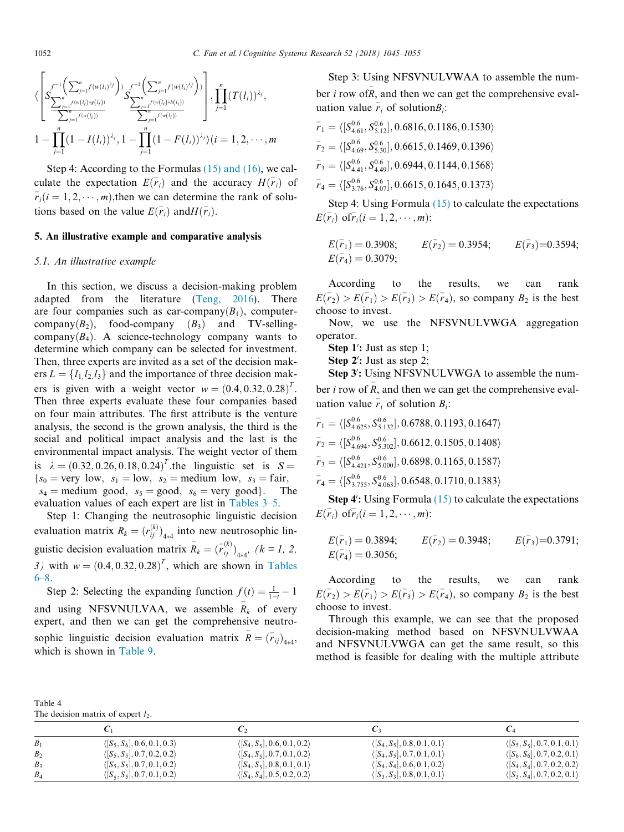<span id="page-7-0"></span>
$$
\langle \left[ S_{\sum_{j=1}^{n} f^{(w(l_i)*g(l_i))}}^{f^{-1} \left( \sum_{j=1}^{n} f^{(w(l_i)*j} \right) \right) } S_{\sum_{j=1}^{n} f^{(w(l_i)*h(l_i))}}^{f^{-1} \left( \sum_{j=1}^{n} f^{(w(l_i)*j} \right) \rangle} \right], \prod_{j=1}^{n} (T(l_i))^{\lambda_j},
$$
  

$$
1 - \prod_{j=1}^{n} (1 - I(l_i))^{\lambda_j}, 1 - \prod_{j=1}^{n} (1 - F(l_i))^{\lambda_j} \rangle (i = 1, 2, \cdots, m
$$

Step 4: According to the Formulas [\(15\) and \(16\),](#page-4-0) we calculate the expectation  $E(r_i)$  and the accuracy  $H(r_i)$  of  $r_i (i = 1, 2, \dots, m)$ , then we can determine the rank of solutions based on the value  $F(\overline{x})$  and  $H(\overline{x})$ tions based on the value  $E(r_i)$  and  $H(r_i)$ .

#### 5. An illustrative example and comparative analysis

#### 5.1. An illustrative example

In this section, we discuss a decision-making problem adapted from the literature ([Teng, 2016](#page-10-0)). There are four companies such as car-company $(B_1)$ , computercompany $(B_2)$ , food-company  $(B_3)$  and TV-sellingcompany $(B_4)$ . A science-technology company wants to determine which company can be selected for investment. Then, three experts are invited as a set of the decision makers  $L = \{l_1, l_2, l_3\}$  and the importance of three decision makers is given with a weight vector  $w = (0.4, 0.32, 0.28)^T$ .<br>Then three experts evaluate these four companies based Then three experts evaluate these four companies based on four main attributes. The first attribute is the venture analysis, the second is the grown analysis, the third is the social and political impact analysis and the last is the environmental impact analysis. The weight vector of them is  $\lambda = (0.32, 0.26, 0.18, 0.24)^T$ . the linguistic set is  $S =$ <br> $s_0 = \text{very low}$ ,  $s_1 = \text{low}$ ,  $s_2 = \text{medium low}$ ,  $s_3 = \text{fair}$  ${s_0}$  = very low,  $s_1$  = low,  $s_2$  = medium low,  $s_3$  = fair,<br> $s_4$  = medium good,  $s_5$  = good,  $s_6$  = very good}. The  $s_4$  = medium good,  $s_5$  = good,  $s_6$  = very good}. evaluation values of each expert are list in [Tables 3–5](#page-6-0).

Step 1: Changing the neutrosophic linguistic decision evaluation matrix  $R_k = (r_{ij}^{(k)})_{4*4}$  into new neutrosophic linguistic decision evaluation matrix  $\overline{R}_k = (\overline{r}_{ij}^{(k)})^2$  $\binom{N}{ij}_{4*4}$ ,  $(k = 1, 2,$ 3) with  $w = (0.4, 0.32, 0.28)^T$ , which are shown in [Tables](#page-8-0) [6–8.](#page-8-0)

Step 2: Selecting the expanding function  $f(t) = \frac{1}{1-t} - 1$ and using NFSVNULVAA, we assemble  $R_k$  of every expert, and then we can get the comprehensive neutrosophic linguistic decision evaluation matrix  $R = (r_{ij})_{4*4}$ , which is shown in [Table 9](#page-8-0).

Step 3: Using NFSVNULVWAA to assemble the number *i* row ofR, and then we can get the comprehensive evaluation value  $r_i$  of solution $B_i$ :

$$
\begin{aligned}\n\bar{r}_1 &= \langle [S_{4.61}^{0.6}, S_{5.12}^{0.6}], 0.6816, 0.1186, 0.1530 \rangle \\
\bar{r}_2 &= \langle [S_{4.69}^{0.6}, S_{5.30}^{0.6}], 0.6615, 0.1469, 0.1396 \rangle \\
\bar{r}_3 &= \langle [S_{4.41}^{0.6}, S_{4.49}^{0.6}], 0.6944, 0.1144, 0.1568 \rangle \\
\bar{r}_4 &= \langle [S_{3.76}^{0.6}, S_{4.07}^{0.6}], 0.6615, 0.1645, 0.1373 \rangle\n\end{aligned}
$$

Step 4: Using Formula [\(15\)](#page-4-0) to calculate the expectations  $E(r_i)$  of  $r_i (i = 1, 2, \dots, m)$ :

$$
E(\bar{r}_1) = 0.3908;
$$
  $E(\bar{r}_2) = 0.3954;$   $E(\bar{r}_3) = 0.3594;$   
 $E(\bar{r}_4) = 0.3079;$ 

According to the results, we can rank  $E(r_2) > E(r_1) > E(r_3) > E(r_4)$ , so company  $B_2$  is the best<br>choose to invest choose to invest.

Now, we use the NFSVNULVWGA aggregation operator.

Step 1': Just as step 1;

Step  $2$ : Just as step 2;

Step 3': Using NFSVNULVWGA to assemble the num-

ber  $i$  row of  $R$ , and then we can get the comprehensive evaluation value  $r_i$  of solution  $B_i$ :

$$
\bar{r}_1 = \langle [S_{4.625}^{0.6}, S_{5.132}^{0.6}], 0.6788, 0.1193, 0.1647 \rangle
$$
\n
$$
\bar{r}_2 = \langle [S_{4.694}^{0.6}, S_{5.302}^{0.6}], 0.6612, 0.1505, 0.1408 \rangle
$$
\n
$$
\bar{r}_3 = \langle [S_{4.421}^{0.6}, S_{5.000}^{0.6}], 0.6898, 0.1165, 0.1587 \rangle
$$
\n
$$
\bar{r}_4 = \langle [S_{3.755}^{0.6}, S_{4.063}^{0.6}], 0.6548, 0.1710, 0.1383 \rangle
$$

**Step 4':** Using Formula  $(15)$  to calculate the expectations  $E(r_i)$  of  $r_i (i = 1, 2, \cdots, m)$ :

$$
E(\bar{r}_1) = 0.3894;
$$
  $E(\bar{r}_2) = 0.3948;$   $E(\bar{r}_3) = 0.3791;$   
 $E(\bar{r}_4) = 0.3056;$ 

According to the results, we can rank  $E(r_2) > E(r_1) > E(r_3) > E(r_4)$ , so company  $B_2$  is the best<br>choose to invest choose to invest.

Through this example, we can see that the proposed decision-making method based on NFSVNULVWAA and NFSVNULVWGA can get the same result, so this method is feasible for dealing with the multiple attribute

| Table 4                               |  |  |
|---------------------------------------|--|--|
| The decision matrix of expert $l_2$ . |  |  |

| $B_1$          | $\langle [S_5, S_6], 0.6, 0.1, 0.3 \rangle$ | $\langle [S_4, S_5], 0.6, 0.1, 0.2 \rangle$ | $\langle [S_4, S_5], 0.8, 0.1, 0.1 \rangle$ | $\langle [S_5, S_5], 0.7, 0.1, 0.1 \rangle$ |
|----------------|---------------------------------------------|---------------------------------------------|---------------------------------------------|---------------------------------------------|
| B <sub>2</sub> | $\langle [S_5, S_5], 0.7, 0.2, 0.2 \rangle$ | $\langle [S_4, S_5], 0.7, 0.1, 0.2 \rangle$ | $\langle [S_4, S_5], 0.7, 0.1, 0.1 \rangle$ | $\langle [S_6, S_6], 0.7, 0.2, 0.1 \rangle$ |
| $B_3$          | $\langle [S_5, S_5], 0.7, 0.1, 0.2 \rangle$ | $\langle [S_4, S_5], 0.8, 0.1, 0.1 \rangle$ | $\langle [S_4, S_4], 0.6, 0.1, 0.2 \rangle$ | $\langle [S_4, S_4], 0.7, 0.2, 0.2 \rangle$ |
| $B_4$          | $\langle [S_5, S_5], 0.7, 0.1, 0.2 \rangle$ | $\langle [S_4, S_4], 0.5, 0.2, 0.2 \rangle$ | $\langle [S_3, S_3], 0.8, 0.1, 0.1 \rangle$ | $\langle [S_3, S_4], 0.7, 0.2, 0.1 \rangle$ |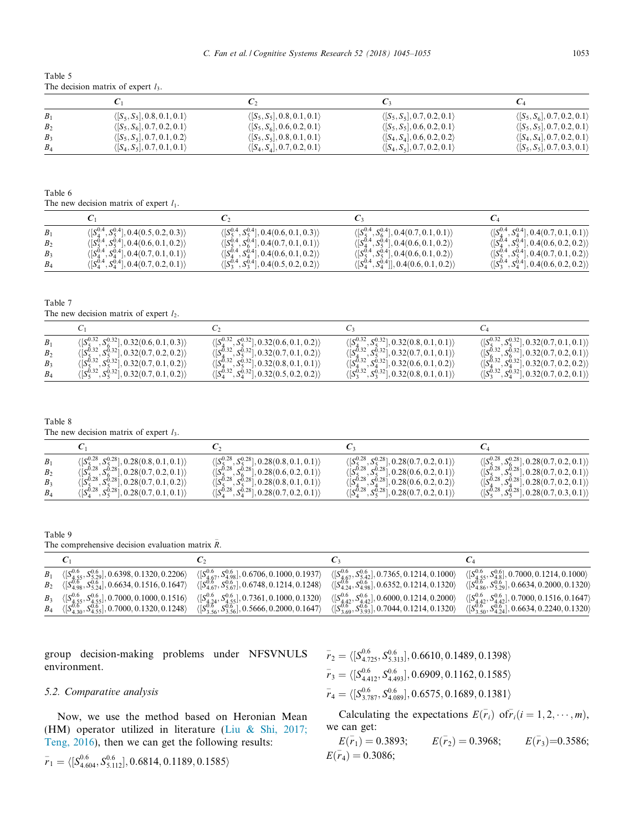<span id="page-8-0"></span>

| Table 5                               |  |  |
|---------------------------------------|--|--|
| The decision matrix of expert $l_3$ . |  |  |

|                |                                             | U                                           |                                             |                                             |
|----------------|---------------------------------------------|---------------------------------------------|---------------------------------------------|---------------------------------------------|
| $B_1$          | $\langle [S_5, S_5], 0.8, 0.1, 0.1 \rangle$ | $\langle [S_5, S_5], 0.8, 0.1, 0.1 \rangle$ | $\langle [S_5, S_5], 0.7, 0.2, 0.1 \rangle$ | $\langle [S_5, S_6], 0.7, 0.2, 0.1 \rangle$ |
| B <sub>2</sub> | $\langle [S_5, S_6], 0.7, 0.2, 0.1 \rangle$ | $\langle [S_5, S_6], 0.6, 0.2, 0.1 \rangle$ | $\langle [S_5, S_5], 0.6, 0.2, 0.1 \rangle$ | $\langle [S_5, S_5], 0.7, 0.2, 0.1 \rangle$ |
| $B_3$          | $\langle [S_5, S_5], 0.7, 0.1, 0.2 \rangle$ | $\langle [S_5, S_5], 0.8, 0.1, 0.1 \rangle$ | $\langle [S_4, S_4], 0.6, 0.2, 0.2 \rangle$ | $\langle [S_4, S_4], 0.7, 0.2, 0.1 \rangle$ |
| $B_4$          | $\langle [S_4, S_5], 0.7, 0.1, 0.1 \rangle$ | $\langle [S_4, S_4], 0.7, 0.2, 0.1 \rangle$ | $\langle [S_4, S_5], 0.7, 0.2, 0.1 \rangle$ | $\langle [S_5, S_5], 0.7, 0.3, 0.1 \rangle$ |

Table 6 The new decision matrix of expert  $l_1$ .

|                | U                                                            |                                                              |                                                                |                                                              |
|----------------|--------------------------------------------------------------|--------------------------------------------------------------|----------------------------------------------------------------|--------------------------------------------------------------|
| $B_1$          | $\langle [S_4^{0.4}, S_5^{0.4}], 0.4(0.5, 0.2, 0.3) \rangle$ | $\langle [S_5^{0.4}, S_5^{0.4}], 0.4(0.6, 0.1, 0.3) \rangle$ | $\langle [S_5^{0.4}, S_6^{0.4}], 0.4 (0.7, 0.1, 0.1) \rangle$  | $\langle [S_4^{0.4}, S_4^{0.4}], 0.4(0.7, 0.1, 0.1) \rangle$ |
| B <sub>2</sub> | $\langle [S_5^{0.4}, S_5^{0.4}], 0.4(0.6, 0.1, 0.2) \rangle$ | $\langle [S_5^{0.4}, S_6^{0.4}], 0.4(0.7, 0.1, 0.1) \rangle$ | $\langle [S_4^{0.4}, S_5^{0.4}], 0.4(0.6, 0.1, 0.2) \rangle$   | $\langle [S_4^{0.4}, S_5^{0.4}], 0.4(0.6, 0.2, 0.2) \rangle$ |
| $B_3$          | $\langle [S_4^{0.4}, S_4^{0.4}], 0.4(0.7, 0.1, 0.1) \rangle$ | $\langle [S_4^{0.4}, S_4^{0.4}], 0.4(0.6, 0.1, 0.2) \rangle$ | $\langle [S_5^{0.4}, S_5^{0.4}], 0.4(0.6, 0.1, 0.2) \rangle$   | $\langle [S_5^{0.4}, S_5^{0.4}], 0.4(0.7, 0.1, 0.2) \rangle$ |
| $B_4$          | $\langle [S_4^{0.4}, S_4^{0.4}], 0.4(0.7, 0.2, 0.1) \rangle$ | $\langle [S_3^{0.4}, S_3^{0.4}], 0.4(0.5, 0.2, 0.2) \rangle$ | $\langle [S_4^{0.4}, S_4^{0.4}]], 0.4 (0.6, 0.1, 0.2) \rangle$ | $\langle [S_3^{0.4}, S_4^{0.4}], 0.4(0.6, 0.2, 0.2) \rangle$ |
|                |                                                              |                                                              |                                                                |                                                              |

Table 7

The new decision matrix of expert  $l_2$ .

|                |                                                                 |                                                                  |                                                                 | U4                                                              |
|----------------|-----------------------------------------------------------------|------------------------------------------------------------------|-----------------------------------------------------------------|-----------------------------------------------------------------|
| $B_1$          | $\langle [S_5^{0.32}, S_6^{0.32}], 0.32(0.6, 0.1, 0.3) \rangle$ | $\langle [S_4^{0.32}, S_5^{0.32}], 0.32 (0.6, 0.1, 0.2) \rangle$ | $\langle [S_4^{0.32}, S_5^{0.32}], 0.32(0.8, 0.1, 0.1) \rangle$ | $\langle [S_5^{0.32}, S_5^{0.32}], 0.32(0.7, 0.1, 0.1) \rangle$ |
| B <sub>2</sub> | $\langle [S_5^{0.32}, S_5^{0.32}], 0.32(0.7, 0.2, 0.2) \rangle$ | $\langle [S_4^{0.32}, S_5^{0.32}], 0.32(0.7, 0.1, 0.2) \rangle$  | $\langle [S_4^{0.32}, S_5^{0.32}], 0.32(0.7, 0.1, 0.1) \rangle$ | $\langle [S_6^{0.32}, S_6^{0.32}], 0.32(0.7, 0.2, 0.1) \rangle$ |
| $B_3$          | $\langle [S_5^{0.32}, S_5^{0.32}], 0.32(0.7, 0.1, 0.2) \rangle$ | $\langle [S_4^{0.32}, S_5^{0.32}], 0.32(0.8, 0.1, 0.1) \rangle$  | $\langle [S_4^{0.32}, S_4^{0.32}], 0.32(0.6, 0.1, 0.2) \rangle$ | $\langle [S_4^{0.32}, S_4^{0.32}], 0.32(0.7, 0.2, 0.2) \rangle$ |
| $B_4$          | $\langle [S_5^{0.32}, S_5^{0.32}], 0.32(0.7, 0.1, 0.2) \rangle$ | $\langle [S_4^{0.32}, S_4^{0.32}], 0.32(0.5, 0.2, 0.2) \rangle$  | $\langle [S_3^{0.32}, S_3^{0.32}], 0.32(0.8, 0.1, 0.1) \rangle$ | $\langle [S_3^{0.32}, S_4^{0.32}], 0.32(0.7, 0.2, 0.1) \rangle$ |

Table 8

The new decision matrix of expert  $l_3$ .

|                |                                                                 |                                                                             |                                                                 | ◡▵                                                              |
|----------------|-----------------------------------------------------------------|-----------------------------------------------------------------------------|-----------------------------------------------------------------|-----------------------------------------------------------------|
| $B_1$          | $\langle [S_5^{0.28}, S_5^{0.28}], 0.28(0.8, 0.1, 0.1) \rangle$ | $\langle [S_5^{0.28}, S_5^{0.28}], 0.28 (0.8, 0.1, 0.1) \rangle$            | $\langle [S_5^{0.28}, S_5^{0.28}], 0.28(0.7, 0.2, 0.1) \rangle$ | $\langle [S_5^{0.28}, S_6^{0.28}], 0.28(0.7, 0.2, 0.1) \rangle$ |
| B <sub>2</sub> | $\langle [S_5^{0.28}, S_6^{0.28}], 0.28(0.7, 0.2, 0.1) \rangle$ | $\langle [S_5^{0.28}, S_6^{0.28}], 0.28(0.6, 0.2, 0.1) \rangle$             | $\langle [S_5^{0.28}, S_5^{0.28}], 0.28(0.6, 0.2, 0.1) \rangle$ | $\langle [S_5^{0.28}, S_5^{0.28}], 0.28(0.7, 0.2, 0.1) \rangle$ |
| $B_3$          | $\langle [S_5^{0.28}, S_5^{0.28}], 0.28(0.7, 0.1, 0.2) \rangle$ | $\langle [S_5^{\bar{0},28}, S_5^{\bar{0},28}], 0.28(0.8, 0.1, 0.1) \rangle$ | $\langle [S_4^{0.28}, S_4^{0.28}], 0.28(0.6, 0.2, 0.2) \rangle$ | $\langle [S_4^{0.28}, S_4^{0.28}], 0.28(0.7, 0.2, 0.1) \rangle$ |
| $B_4$          | $\langle [S_4^{0.28}, S_5^{0.28}], 0.28(0.7, 0.1, 0.1) \rangle$ | $\langle [S_4^{0.28}, S_4^{0.28}], 0.28 (0.7, 0.2, 0.1) \rangle$            | $\langle [S_4^{0.28}, S_5^{0.28}], 0.28(0.7, 0.2, 0.1) \rangle$ | $\langle [S_5^{0.28}, S_5^{0.28}], 0.28(0.7, 0.3, 0.1) \rangle$ |

Table 9

The comprehensive decision evaluation matrix R.

| $B_1 \quad \langle [S^{0.6}_{4,55}, S^{0.6}_{5,29}], 0.6398, 0.1320, 0.2206 \rangle B_2 \quad \langle [S^{0.6}_{4,98}, S^{0.6}_{5,24}], 0.6634, 0.1516, 0.1647 \rangle$ | $\langle [S^{0.6}_{4.67}, S^{0.6}_{4.98}], 0.6706, 0.1000, 0.1937 \rangle \langle [S^{0.6}_{4.67}, S^{0.6}_{5.67}], 0.6748, 0.1214, 0.1248 \rangle$ | $\langle [S_{4,67}^{0.6}, S_{5,42}^{0.6}], 0.7365, 0.1214, 0.1000 \rangle \quad \langle [S_{4,56}^{0.6}, S_{4,8}^{0.6}], 0.7000, 0.1214, 0.1000 \rangle \nonumber \langle [S_{4,24}^{0.6}, S_{4,98}^{0.6}], 0.6352, 0.1214, 0.1320 \rangle \quad \langle [S_{4,86}^{0.6}, S_{5,29}^{0.6}], 0.6634, 0.2000, 0.1320 \rangle$ |                                                                                                                                                          |
|-------------------------------------------------------------------------------------------------------------------------------------------------------------------------|-----------------------------------------------------------------------------------------------------------------------------------------------------|----------------------------------------------------------------------------------------------------------------------------------------------------------------------------------------------------------------------------------------------------------------------------------------------------------------------------|----------------------------------------------------------------------------------------------------------------------------------------------------------|
|                                                                                                                                                                         |                                                                                                                                                     |                                                                                                                                                                                                                                                                                                                            |                                                                                                                                                          |
| $B_3 \quad \langle [S^{0.6}_{4,55}, S^{0.6}_{4,55}], 0.7000, 0.1000, 0.1516 \rangle B_4 \quad \langle [S^{0.6}_{4,30}, S^{0.6}_{4,55}], 0.7000, 0.1320, 0.1248 \rangle$ | $\langle [S_{4,24}^{0.6}, S_{4,55}^{0.6}], 0.7361, 0.1000, 0.1320 \rangle \langle [S_{3,56}^{0.6}, S_{3,56}^{0.6}], 0.5666, 0.2000, 0.1647 \rangle$ | $\langle [S_{4,42}^{0.6}, S_{4,42}^{0.6}], 0.6000, 0.1214, 0.2000 \rangle \langle [S_{3,69}^{0.6}, S_{3,93}^{0.6}], 0.7044, 0.1214, 0.1320 \rangle$                                                                                                                                                                        | $\langle [S_{4,42}^{0.6}, S_{4,42}^{0.6}], 0.7000, 0.1516, 0.1647 \rangle$<br>$\langle [S_{3,50}^{0.6}, S_{4,24}^{0.6}], 0.6634, 0.2240, 0.1320 \rangle$ |
|                                                                                                                                                                         |                                                                                                                                                     |                                                                                                                                                                                                                                                                                                                            |                                                                                                                                                          |

group decision-making problems under NFSVNULS environment.

# 5.2. Comparative analysis

Now, we use the method based on Heronian Mean (HM) operator utilized in literature ([Liu & Shi, 2017;](#page-10-0) [Teng, 2016](#page-10-0)), then we can get the following results:

$$
\overline{r}_1 = \langle [S_{4.604}^{0.6}, S_{5.112}^{0.6}], 0.6814, 0.1189, 0.1585 \rangle
$$

 $\overline{r}_2 = \langle [S_{4.725}^{0.6}, S_{5.313}^{0.6}], 0.6610, 0.1489, 0.1398 \rangle$  $\overline{r}_3 = \langle [S_{4.412}^{0.6}, S_{4.493}^{0.6}], 0.6909, 0.1162, 0.1585 \rangle$  $\bar{r}_4 = \langle [S^{0.6}_{3.787}, S^{0.6}_{4.089}], 0.6575, 0.1689, 0.1381 \rangle$ 

Calculating the expectations  $E(r_i)$  of  $r_i (i = 1, 2, \dots, m)$ , can get: we can get:

 $E(r_1) = 0.3893;$   $E(r_1) = 0.3096;$  $r_2$ ) = 0.3968;  $E(r_3)$ =0.3586;  $E(r_4) = 0.3086;$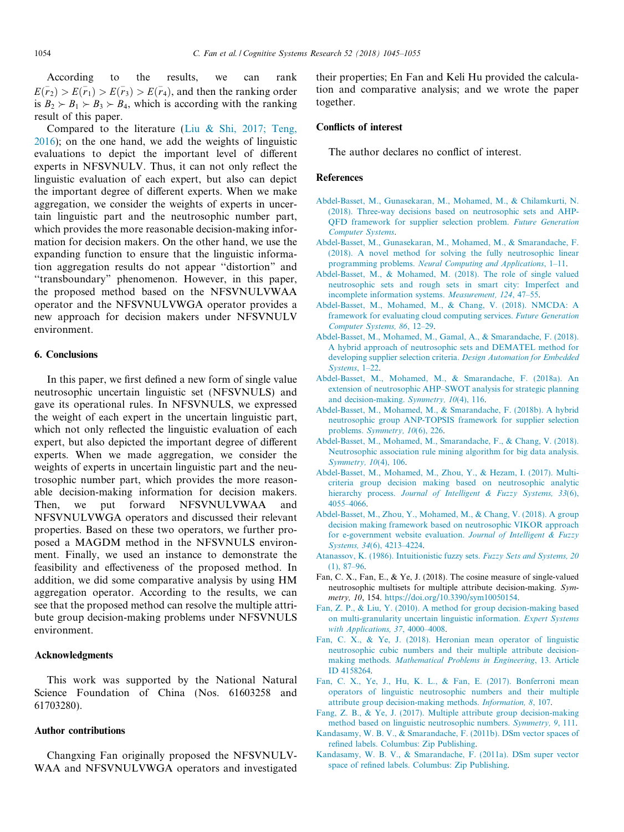<span id="page-9-0"></span>According to the results, we can rank  $E(r_2) > E(r_1) > E(r_3) > E(r_4)$ , and then the ranking order<br>is  $B_0 \subseteq B_1 \subseteq B_2 \subseteq B_4$ , which is according with the ranking is  $B_2 \rightarrow B_1 \rightarrow B_3 \rightarrow B_4$ , which is according with the ranking result of this paper.

Compared to the literature [\(Liu & Shi, 2017; Teng,](#page-10-0) [2016\)](#page-10-0); on the one hand, we add the weights of linguistic evaluations to depict the important level of different experts in NFSVNULV. Thus, it can not only reflect the linguistic evaluation of each expert, but also can depict the important degree of different experts. When we make aggregation, we consider the weights of experts in uncertain linguistic part and the neutrosophic number part, which provides the more reasonable decision-making information for decision makers. On the other hand, we use the expanding function to ensure that the linguistic information aggregation results do not appear ''distortion" and ''transboundary" phenomenon. However, in this paper, the proposed method based on the NFSVNULVWAA operator and the NFSVNULVWGA operator provides a new approach for decision makers under NFSVNULV environment.

#### 6. Conclusions

In this paper, we first defined a new form of single value neutrosophic uncertain linguistic set (NFSVNULS) and gave its operational rules. In NFSVNULS, we expressed the weight of each expert in the uncertain linguistic part, which not only reflected the linguistic evaluation of each expert, but also depicted the important degree of different experts. When we made aggregation, we consider the weights of experts in uncertain linguistic part and the neutrosophic number part, which provides the more reasonable decision-making information for decision makers. Then, we put forward NFSVNULVWAA and NFSVNULVWGA operators and discussed their relevant properties. Based on these two operators, we further proposed a MAGDM method in the NFSVNULS environment. Finally, we used an instance to demonstrate the feasibility and effectiveness of the proposed method. In addition, we did some comparative analysis by using HM aggregation operator. According to the results, we can see that the proposed method can resolve the multiple attribute group decision-making problems under NFSVNULS environment.

## Acknowledgments

This work was supported by the National Natural Science Foundation of China (Nos. 61603258 and 61703280).

# Author contributions

Changxing Fan originally proposed the NFSVNULV-WAA and NFSVNULVWGA operators and investigated their properties; En Fan and Keli Hu provided the calculation and comparative analysis; and we wrote the paper together.

#### Conflicts of interest

The author declares no conflict of interest.

# References

- [Abdel-Basset, M., Gunasekaran, M., Mohamed, M., & Chilamkurti, N.](http://refhub.elsevier.com/S1389-0417(18)30443-1/h0005) [\(2018\). Three-way decisions based on neutrosophic sets and AHP-](http://refhub.elsevier.com/S1389-0417(18)30443-1/h0005)[QFD framework for supplier selection problem.](http://refhub.elsevier.com/S1389-0417(18)30443-1/h0005) Future Generation [Computer Systems](http://refhub.elsevier.com/S1389-0417(18)30443-1/h0005).
- [Abdel-Basset, M., Gunasekaran, M., Mohamed, M., & Smarandache, F.](http://refhub.elsevier.com/S1389-0417(18)30443-1/h0010) [\(2018\). A novel method for solving the fully neutrosophic linear](http://refhub.elsevier.com/S1389-0417(18)30443-1/h0010) programming problems. [Neural Computing and Applications](http://refhub.elsevier.com/S1389-0417(18)30443-1/h0010)[, 1–11](http://refhub.elsevier.com/S1389-0417(18)30443-1/h0010).
- [Abdel-Basset, M., & Mohamed, M. \(2018\). The role of single valued](http://refhub.elsevier.com/S1389-0417(18)30443-1/h0015) [neutrosophic sets and rough sets in smart city: Imperfect and](http://refhub.elsevier.com/S1389-0417(18)30443-1/h0015) [incomplete information systems.](http://refhub.elsevier.com/S1389-0417(18)30443-1/h0015) Measurement, 124[, 47–55.](http://refhub.elsevier.com/S1389-0417(18)30443-1/h0015)
- [Abdel-Basset, M., Mohamed, M., & Chang, V. \(2018\). NMCDA: A](http://refhub.elsevier.com/S1389-0417(18)30443-1/h0020) [framework for evaluating cloud computing services.](http://refhub.elsevier.com/S1389-0417(18)30443-1/h0020) Future Generation [Computer Systems, 86](http://refhub.elsevier.com/S1389-0417(18)30443-1/h0020)[, 12–29.](http://refhub.elsevier.com/S1389-0417(18)30443-1/h0020)
- [Abdel-Basset, M., Mohamed, M., Gamal, A., & Smarandache, F. \(2018\).](http://refhub.elsevier.com/S1389-0417(18)30443-1/h0025) [A hybrid approach of neutrosophic sets and DEMATEL method for](http://refhub.elsevier.com/S1389-0417(18)30443-1/h0025) [developing supplier selection criteria.](http://refhub.elsevier.com/S1389-0417(18)30443-1/h0025) Design Automation for Embedded [Systems](http://refhub.elsevier.com/S1389-0417(18)30443-1/h0025)[, 1–22.](http://refhub.elsevier.com/S1389-0417(18)30443-1/h0025)
- [Abdel-Basset, M., Mohamed, M., & Smarandache, F. \(2018a\). An](http://refhub.elsevier.com/S1389-0417(18)30443-1/h0030) [extension of neutrosophic AHP–SWOT analysis for strategic planning](http://refhub.elsevier.com/S1389-0417(18)30443-1/h0030) [and decision-making.](http://refhub.elsevier.com/S1389-0417(18)30443-1/h0030) Symmetry, 10(4)[, 116](http://refhub.elsevier.com/S1389-0417(18)30443-1/h0030).
- [Abdel-Basset, M., Mohamed, M., & Smarandache, F. \(2018b\). A hybrid](http://refhub.elsevier.com/S1389-0417(18)30443-1/h0035) [neutrosophic group ANP-TOPSIS framework for supplier selection](http://refhub.elsevier.com/S1389-0417(18)30443-1/h0035) problems. [Symmetry, 10](http://refhub.elsevier.com/S1389-0417(18)30443-1/h0035)(6[\), 226.](http://refhub.elsevier.com/S1389-0417(18)30443-1/h0035)
- [Abdel-Basset, M., Mohamed, M., Smarandache, F., & Chang, V. \(2018\).](http://refhub.elsevier.com/S1389-0417(18)30443-1/h0040) [Neutrosophic association rule mining algorithm for big data analysis.](http://refhub.elsevier.com/S1389-0417(18)30443-1/h0040) [Symmetry, 10](http://refhub.elsevier.com/S1389-0417(18)30443-1/h0040)(4)[, 106.](http://refhub.elsevier.com/S1389-0417(18)30443-1/h0040)
- [Abdel-Basset, M., Mohamed, M., Zhou, Y., & Hezam, I. \(2017\). Multi](http://refhub.elsevier.com/S1389-0417(18)30443-1/h0045)[criteria group decision making based on neutrosophic analytic](http://refhub.elsevier.com/S1389-0417(18)30443-1/h0045) hierarchy process. [Journal of Intelligent & Fuzzy Systems, 33](http://refhub.elsevier.com/S1389-0417(18)30443-1/h0045)(6)[,](http://refhub.elsevier.com/S1389-0417(18)30443-1/h0045) [4055–4066](http://refhub.elsevier.com/S1389-0417(18)30443-1/h0045).
- [Abdel-Basset, M., Zhou, Y., Mohamed, M., & Chang, V. \(2018\). A group](http://refhub.elsevier.com/S1389-0417(18)30443-1/h0050) [decision making framework based on neutrosophic VIKOR approach](http://refhub.elsevier.com/S1389-0417(18)30443-1/h0050) [for e-government website evaluation.](http://refhub.elsevier.com/S1389-0417(18)30443-1/h0050) Journal of Intelligent & Fuzzy [Systems, 34](http://refhub.elsevier.com/S1389-0417(18)30443-1/h0050)(6)[, 4213–4224](http://refhub.elsevier.com/S1389-0417(18)30443-1/h0050).
- [Atanassov, K. \(1986\). Intuitionistic fuzzy sets.](http://refhub.elsevier.com/S1389-0417(18)30443-1/h0055) Fuzzy Sets and Systems, 20 [\(1\), 87–96.](http://refhub.elsevier.com/S1389-0417(18)30443-1/h0055)
- Fan, C. X., Fan, E., & Ye, J. (2018). The cosine measure of single-valued neutrosophic multisets for multiple attribute decision-making. Symmetry, 10, 154. [https://doi.org/10.3390/sym10050154.](https://doi.org/10.3390/sym10050154)
- [Fan, Z. P., & Liu, Y. \(2010\). A method for group decision-making based](http://refhub.elsevier.com/S1389-0417(18)30443-1/h0065) [on multi-granularity uncertain linguistic information.](http://refhub.elsevier.com/S1389-0417(18)30443-1/h0065) Expert Systems [with Applications, 37](http://refhub.elsevier.com/S1389-0417(18)30443-1/h0065)[, 4000–4008.](http://refhub.elsevier.com/S1389-0417(18)30443-1/h0065)
- [Fan, C. X., & Ye, J. \(2018\). Heronian mean operator of linguistic](http://refhub.elsevier.com/S1389-0417(18)30443-1/h0070) [neutrosophic cubic numbers and their multiple attribute decision](http://refhub.elsevier.com/S1389-0417(18)30443-1/h0070)making methods. [Mathematical Problems in Engineering](http://refhub.elsevier.com/S1389-0417(18)30443-1/h0070)[, 13. Article](http://refhub.elsevier.com/S1389-0417(18)30443-1/h0070) [ID 4158264.](http://refhub.elsevier.com/S1389-0417(18)30443-1/h0070)
- [Fan, C. X., Ye, J., Hu, K. L., & Fan, E. \(2017\). Bonferroni mean](http://refhub.elsevier.com/S1389-0417(18)30443-1/h0075) [operators of linguistic neutrosophic numbers and their multiple](http://refhub.elsevier.com/S1389-0417(18)30443-1/h0075) [attribute group decision-making methods.](http://refhub.elsevier.com/S1389-0417(18)30443-1/h0075) Information, 8[, 107.](http://refhub.elsevier.com/S1389-0417(18)30443-1/h0075)
- [Fang, Z. B., & Ye, J. \(2017\). Multiple attribute group decision-making](http://refhub.elsevier.com/S1389-0417(18)30443-1/h0080) [method based on linguistic neutrosophic numbers.](http://refhub.elsevier.com/S1389-0417(18)30443-1/h0080) Symmetry, 9[, 111](http://refhub.elsevier.com/S1389-0417(18)30443-1/h0080).
- [Kandasamy, W. B. V., & Smarandache, F. \(2011b\). DSm vector spaces of](http://refhub.elsevier.com/S1389-0417(18)30443-1/h0085) [refined labels. Columbus: Zip Publishing.](http://refhub.elsevier.com/S1389-0417(18)30443-1/h0085)
- [Kandasamy, W. B. V., & Smarandache, F. \(2011a\). DSm super vector](http://refhub.elsevier.com/S1389-0417(18)30443-1/h0090) [space of refined labels. Columbus: Zip Publishing](http://refhub.elsevier.com/S1389-0417(18)30443-1/h0090).